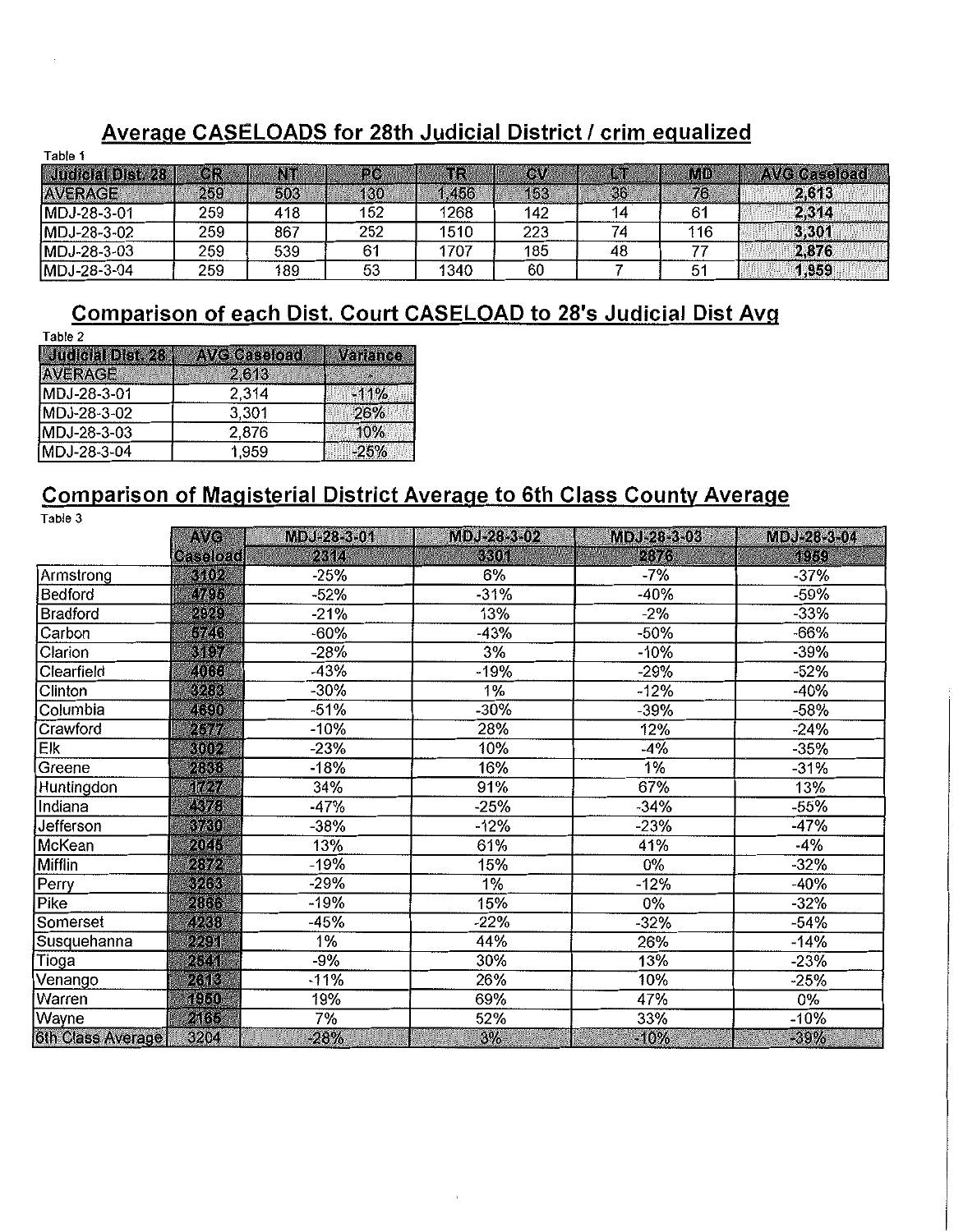### Average CASELOADS for 28th Judicial District / crim equalized

| lable 1           |     |     |     |       |     |    |     |                     |
|-------------------|-----|-----|-----|-------|-----|----|-----|---------------------|
| Judicial Dist. 28 | 0R  | NT  | PC  | πR    | CW  | In | MD  | <b>AVG Caseload</b> |
| <b>AVERAGE</b>    | 259 | 503 | 130 | 1,456 | 153 | 36 | 76  | 2,613               |
| MDJ-28-3-01       | 259 | 418 | 152 | 1268  | 142 |    | 61  | 2,314               |
| MDJ-28-3-02       | 259 | 867 | 252 | 1510  | 223 |    | 116 | 3,301               |
| MDJ-28-3-03       | 259 | 539 |     | 1707  | 185 | 48 |     | 2,876               |
| MDJ-28-3-04       | 259 | 189 | 53  | 1340  | 60  |    | 51  | 1,959               |

### Comparison of each Dist. Court CASELOAD to 28's Judicial Dist Avg

| Table 2           |                     |          |
|-------------------|---------------------|----------|
| Judicial Dist. 28 | <b>AVG Caseload</b> | Variance |
| <b>AVERAGE</b>    | 2613                |          |
| MDJ-28-3-01       | 2.314               | $-11\%$  |
| MDJ-28-3-02       | 3,301               | 26%      |
| MDJ-28-3-03       | 2,876               | 10%      |
| MDJ-28-3-04       | 1.959               | $-25%$   |

### Comparison of Magisterial District Average to 6th Class County Average

Table 3

|                   | AVG             | MDJ-28-3-01 | MDJ-28-3-02 | MDJ-28-3-03 | MDJ-28-3-04 |
|-------------------|-----------------|-------------|-------------|-------------|-------------|
|                   | <b>Caseload</b> | 2314        | 3301        | 2876        | 1959        |
| Armstrong         | 3102            | $-25%$      | 6%          | -7%         | $-37%$      |
| Bedford           | 4795            | -52%        | $-31%$      | $-40%$      | $-59%$      |
| <b>Bradford</b>   | 2929            | -21%        | 13%         | $-2%$       | $-33%$      |
| Carbon            | 5746            | -60%        | $-43%$      | -50%        | $-66%$      |
| Clarion           | 3497            | -28%        | 3%          | $-10%$      | $-39%$      |
| Clearfield        | 4066            | -43%        | -19%        | $-29%$      | $-52%$      |
| Clinton           | 3263            | $-30%$      | 1%          | $-12%$      | $-40%$      |
| Columbia          | 4690            | $-51%$      | -30%        | -39%        | -58%        |
| Crawford          | 2511            | -10%        | 28%         | 12%         | $-24%$      |
| Elk               | 3002            | $-23%$      | 10%         | $-4%$       | -35%        |
| Greene            | 2838            | -18%        | 16%         | 1%          | $-31%$      |
| Huntingdon        | <b>TOT</b>      | 34%         | 91%         | 67%         | 13%         |
| Indiana           | 4378            | -47%        | -25%        | $-34%$      | -55%        |
| Jefferson         | 3730            | -38%        | -12%        | $-23%$      | $-47%$      |
| McKean            | 2045            | 13%         | 61%         | 41%         | $-4%$       |
| Mifflin           | 2872            | -19%        | 15%         | 0%          | -32%        |
| Perry             | 3263            | $-29%$      | $1\%$       | $-12%$      | $-40%$      |
| Pike              | 2866            | $-19%$      | 15%         | 0%          | -32%        |
| Somerset          | 4238            | -45%        | -22%        | $-32%$      | -54%        |
| Susquehanna       | 2291            | 1%          | 44%         | 26%         | $-14%$      |
| Tioga             | 2541            | $-9%$       | 30%         | 13%         | $-23%$      |
| Venango           | 2613            | -11%        | 26%         | 10%         | $-25%$      |
| Warren            | 1950            | 19%         | 69%         | 47%         | 0%          |
| Wayne             | 2165            | 7%          | 52%         | 33%         | $-10%$      |
| 6th Class Average | 3204            | $-28%$      | 3%          | $-10%$      | $-39%$      |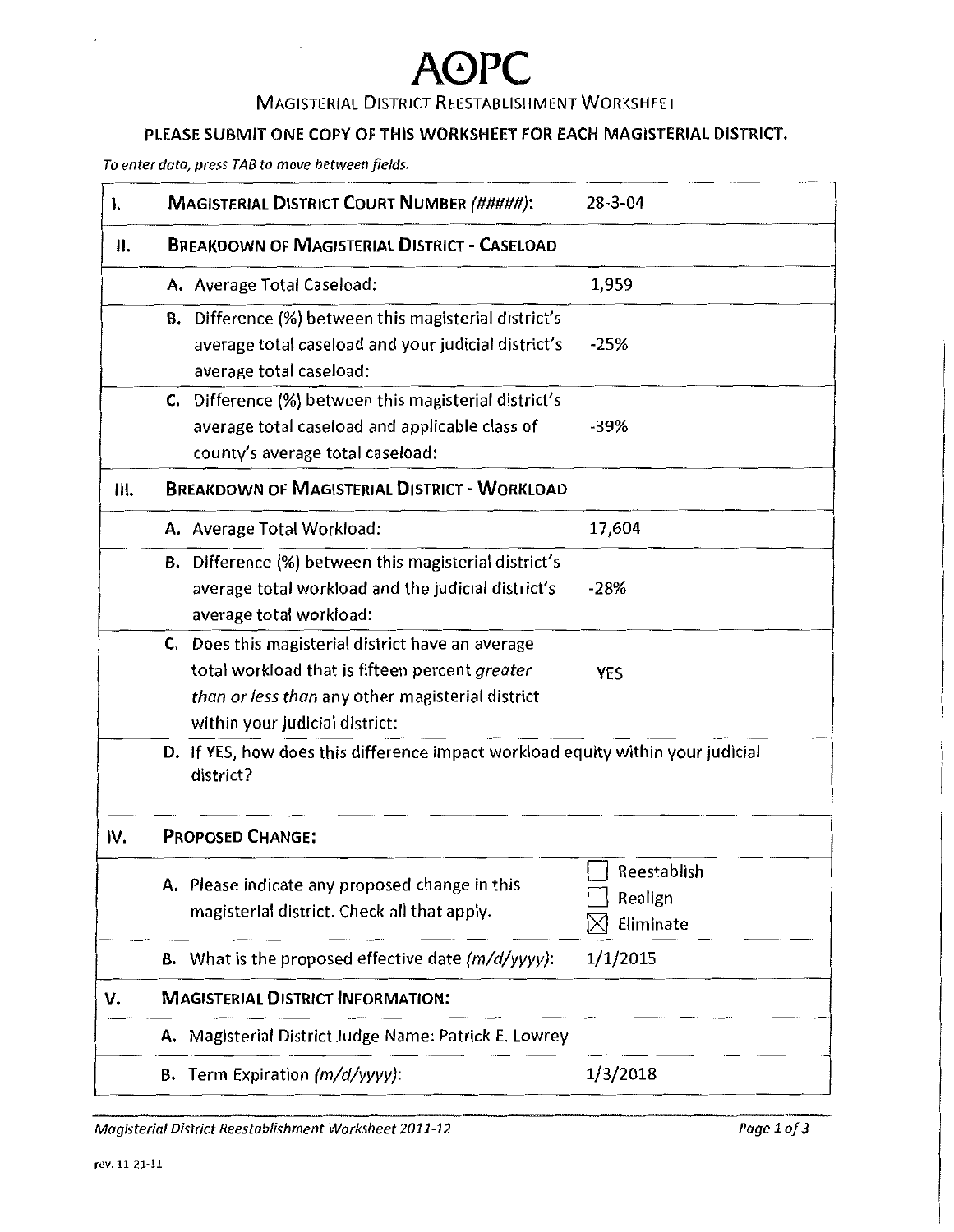### MAGISTERIAL DISTRICT REESTABLISHMENT WORKSHEET

### PLEASE SUBMIT ONE COPY OF THIS WORKSHEET FOR EACH MAGISTERIAL DISTRICT.

*To enter data, press TAB to move between fields.* 

| ı.  | <b>MAGISTERIAL DISTRICT COURT NUMBER (#####):</b>                                                                                                                                         | $28 - 3 - 04$                       |
|-----|-------------------------------------------------------------------------------------------------------------------------------------------------------------------------------------------|-------------------------------------|
| Ⅱ.  | <b>BREAKDOWN OF MAGISTERIAL DISTRICT - CASELOAD</b>                                                                                                                                       |                                     |
|     | A. Average Total Caseload:                                                                                                                                                                | 1,959                               |
|     | <b>B.</b> Difference (%) between this magisterial district's<br>average total caseload and your judicial district's<br>average total caseload:                                            | $-25%$                              |
|     | C. Difference (%) between this magisterial district's<br>average total caseload and applicable class of<br>county's average total caseload:                                               | $-39%$                              |
| Ш.  | <b>BREAKDOWN OF MAGISTERIAL DISTRICT - WORKLOAD</b>                                                                                                                                       |                                     |
|     | A. Average Total Workload:                                                                                                                                                                | 17,604                              |
|     | <b>B.</b> Difference (%) between this magisterial district's<br>average total workload and the judicial district's<br>average total workload:                                             | $-28%$                              |
|     | C. Does this magisterial district have an average<br>total workload that is fifteen percent greater<br>than or less than any other magisterial district<br>within your judicial district: | <b>YES</b>                          |
|     | D. If YES, how does this difference impact workload equity within your judicial<br>district?                                                                                              |                                     |
| IV. | <b>PROPOSED CHANGE:</b>                                                                                                                                                                   |                                     |
|     | A. Please indicate any proposed change in this<br>magisterial district. Check all that apply.                                                                                             | Reestablish<br>Realign<br>Eliminate |
|     | <b>B.</b> What is the proposed effective date $(m/d/yyyy)$ :                                                                                                                              | 1/1/2015                            |
| v.  | <b>MAGISTERIAL DISTRICT INFORMATION:</b>                                                                                                                                                  |                                     |
|     | A. Magisterial District Judge Name: Patrick E. Lowrey                                                                                                                                     |                                     |
|     | <b>B.</b> Term Expiration $(m/d/yyyy)$ :                                                                                                                                                  | 1/3/2018                            |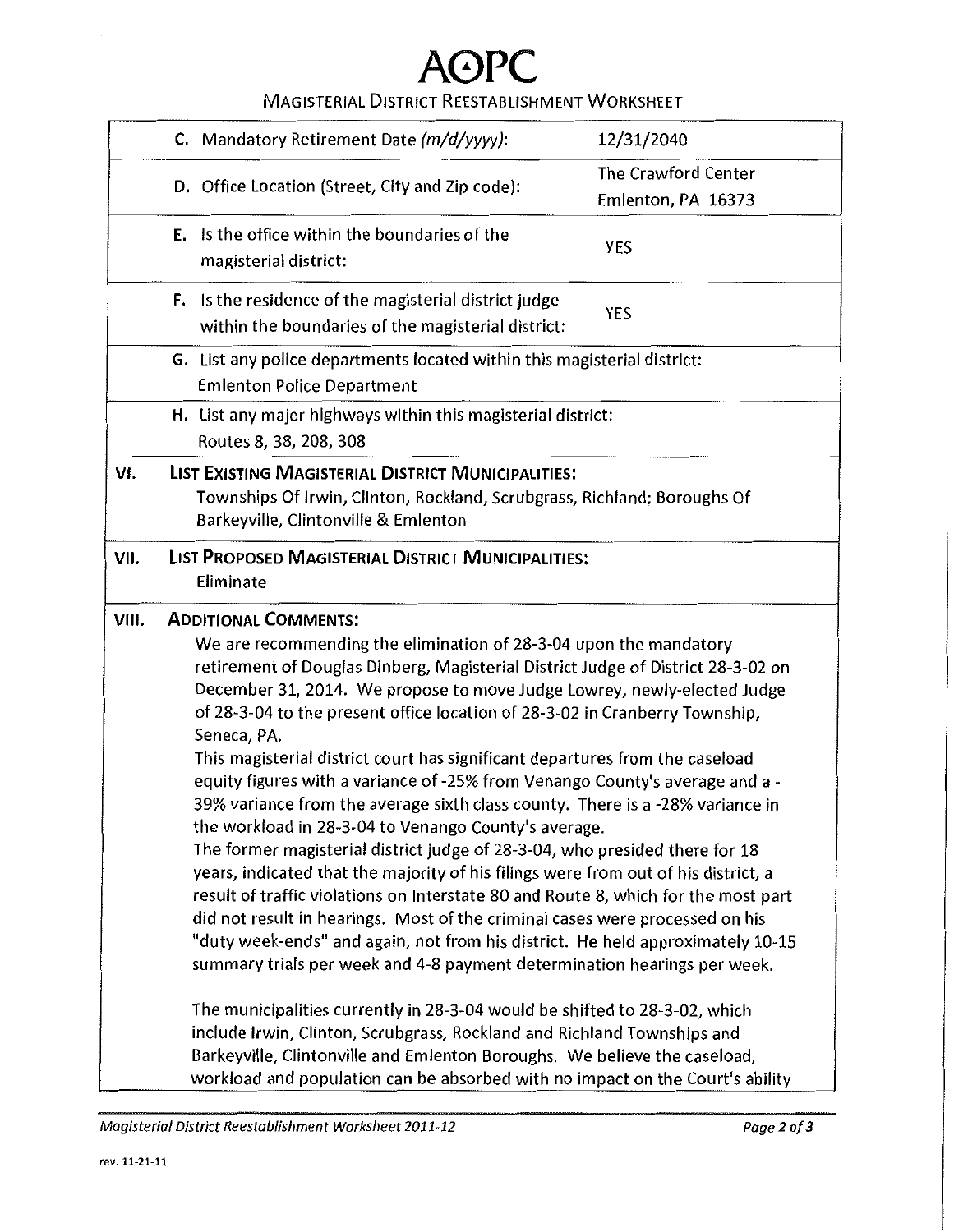### MAGISTERIAL DISTRICT REESTABLISHMENT WORKSHEET

|       | C. Mandatory Retirement Date (m/d/yyyy):                                                                                                                   | 12/31/2040          |
|-------|------------------------------------------------------------------------------------------------------------------------------------------------------------|---------------------|
|       |                                                                                                                                                            | The Crawford Center |
|       | D. Office Location (Street, City and Zip code):                                                                                                            | Emlenton, PA 16373  |
|       |                                                                                                                                                            |                     |
|       | Is the office within the boundaries of the<br>Е.                                                                                                           | <b>YES</b>          |
|       | magisterial district:                                                                                                                                      |                     |
|       | <b>F.</b> Is the residence of the magisterial district judge                                                                                               |                     |
|       | within the boundaries of the magisterial district:                                                                                                         | YES                 |
|       |                                                                                                                                                            |                     |
|       | G. List any police departments located within this magisterial district:                                                                                   |                     |
|       | <b>Emlenton Police Department</b>                                                                                                                          |                     |
|       | H. List any major highways within this magisterial district:                                                                                               |                     |
|       | Routes 8, 38, 208, 308                                                                                                                                     |                     |
| VI.   | LIST EXISTING MAGISTERIAL DISTRICT MUNICIPALITIES:                                                                                                         |                     |
|       | Townships Of Irwin, Clinton, Rockland, Scrubgrass, Richland; Boroughs Of                                                                                   |                     |
|       | Barkeyville, Clintonville & Emlenton                                                                                                                       |                     |
| VII.  | LIST PROPOSED MAGISTERIAL DISTRICT MUNICIPALITIES:                                                                                                         |                     |
|       | Eliminate                                                                                                                                                  |                     |
|       |                                                                                                                                                            |                     |
| VIII. | <b>ADDITIONAL COMMENTS:</b>                                                                                                                                |                     |
|       | We are recommending the elimination of 28-3-04 upon the mandatory                                                                                          |                     |
|       | retirement of Douglas Dinberg, Magisterial District Judge of District 28-3-02 on                                                                           |                     |
|       | December 31, 2014. We propose to move Judge Lowrey, newly-elected Judge                                                                                    |                     |
|       | of 28-3-04 to the present office location of 28-3-02 in Cranberry Township,                                                                                |                     |
|       | Seneca, PA.                                                                                                                                                |                     |
|       | This magisterial district court has significant departures from the caseload                                                                               |                     |
|       | equity figures with a variance of -25% from Venango County's average and a -                                                                               |                     |
|       | 39% variance from the average sixth class county. There is a -28% variance in                                                                              |                     |
|       | the workload in 28-3-04 to Venango County's average.                                                                                                       |                     |
|       | The former magisterial district judge of 28-3-04, who presided there for 18                                                                                |                     |
|       | years, indicated that the majority of his filings were from out of his district, a                                                                         |                     |
|       | result of traffic violations on Interstate 80 and Route 8, which for the most part                                                                         |                     |
|       | did not result in hearings. Most of the criminal cases were processed on his                                                                               |                     |
|       | "duty week-ends" and again, not from his district. He held approximately 10-15                                                                             |                     |
|       | summary trials per week and 4-8 payment determination hearings per week.                                                                                   |                     |
|       | The municipalities currently in 28-3-04 would be shifted to 28-3-02, which                                                                                 |                     |
|       | include Irwin, Clinton, Scrubgrass, Rockland and Richland Townships and                                                                                    |                     |
|       |                                                                                                                                                            |                     |
|       |                                                                                                                                                            |                     |
|       | Barkeyville, Clintonville and Emlenton Boroughs. We believe the caseload,<br>workload and population can be absorbed with no impact on the Court's ability |                     |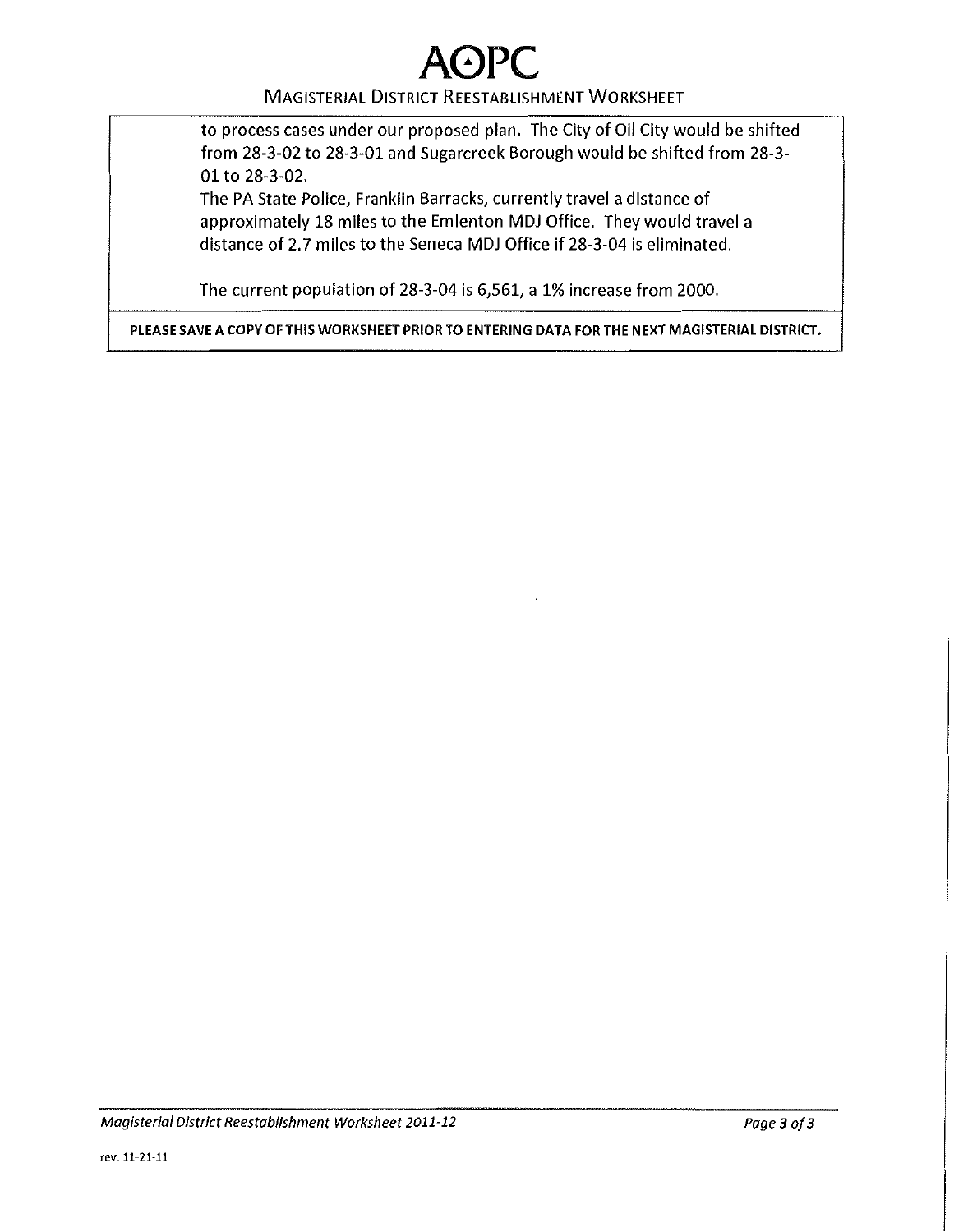# **A**(^)P

#### MAGISTERIAL DISTRICT REESTABLISHMENT WORKSHEET

to process cases under our proposed plan. The City of Oil City would be shifted from 28-3-02 to 28-3-01 and Sugarcreek Borough would be shifted from 28-3- 01 to 28-3-02.

The PA State Police, Franklin Barracks, currently travel a distance of approximately 18 miles to the Emlenton MDJ Office. They would travel a distance of 2.7 miles to the Seneca MDJ Office if 28-3-04 is eliminated.

The current population of 28-3-04 is 6,561, a 1% increase from 2000.

PLEASE SAVE A COPY OF THIS WORKSHEET PRIOR TO ENTERING DATA FOR THE NEXT MAGISTERIAL DISTRICT.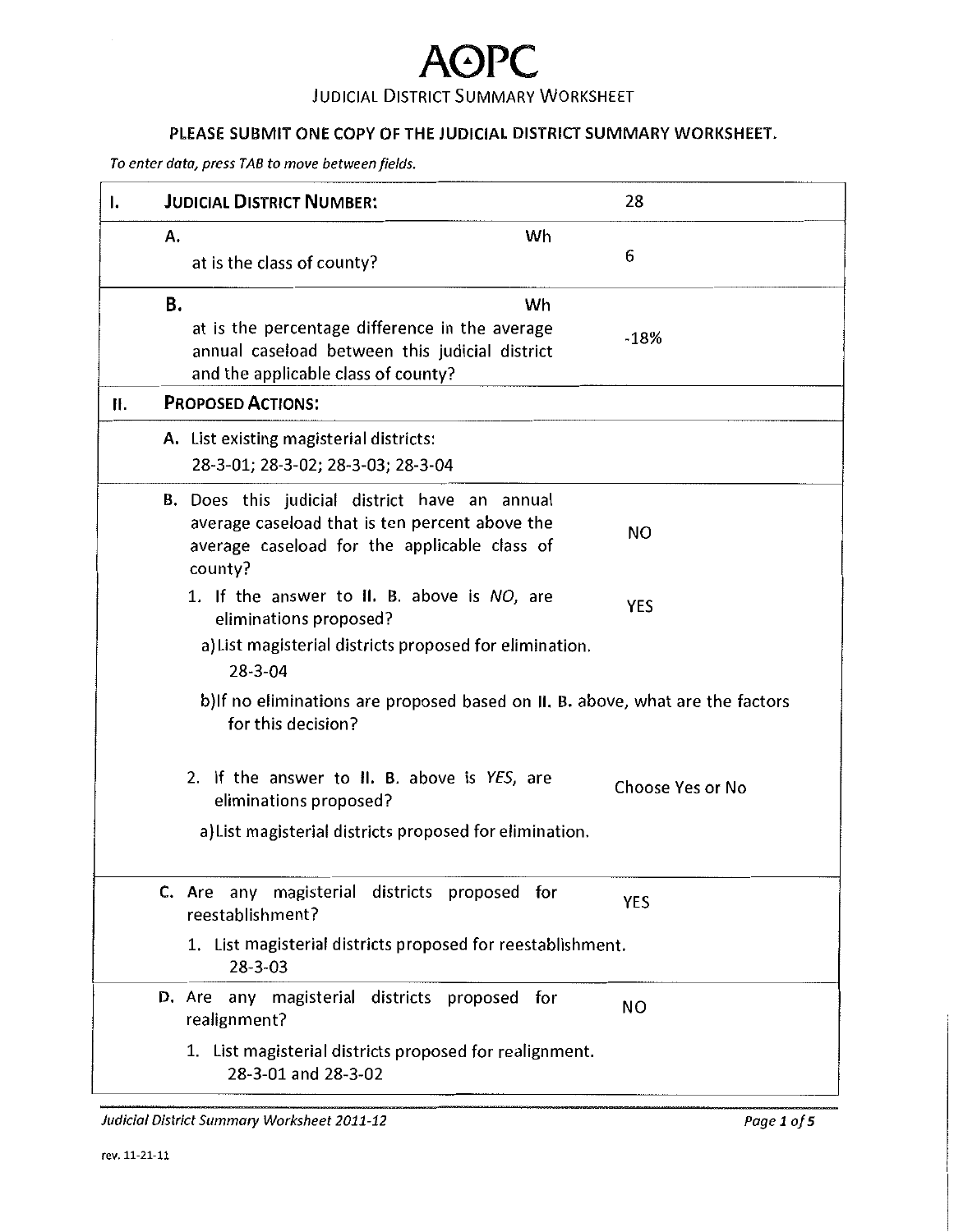## **A0PC**  JUDICIAL DISTRICT SUMMARY WORKSHEET

### PLEASE SUBMIT ONE COPY OF THE JUDICIAL DISTRICT SUMMARY WORKSHEET.

*To enter data, press TAB to move between fields.* 

| ı. | <b>JUDICIAL DISTRICT NUMBER:</b>                                                                                                                           | 28               |
|----|------------------------------------------------------------------------------------------------------------------------------------------------------------|------------------|
|    | Wh<br>Α.<br>at is the class of county?                                                                                                                     | 6                |
|    | В.<br>Wh<br>at is the percentage difference in the average<br>annual caseload between this judicial district<br>and the applicable class of county?        | $-18%$           |
| Ⅱ. | <b>PROPOSED ACTIONS:</b>                                                                                                                                   |                  |
|    | A. List existing magisterial districts:<br>28-3-01; 28-3-02; 28-3-03; 28-3-04                                                                              |                  |
|    | B. Does this judicial district have an annual<br>average caseload that is ten percent above the<br>average caseload for the applicable class of<br>county? | <b>NO</b>        |
|    | 1. If the answer to II. B. above is NO, are<br>eliminations proposed?<br>a) List magisterial districts proposed for elimination.<br>$28 - 3 - 04$          | <b>YES</b>       |
|    | b) If no eliminations are proposed based on II. B. above, what are the factors<br>for this decision?                                                       |                  |
|    | 2. If the answer to II. B. above is YES, are<br>eliminations proposed?                                                                                     | Choose Yes or No |
|    | a) List magisterial districts proposed for elimination.                                                                                                    |                  |
|    | C. Are any magisterial districts proposed for<br>reestablishment?                                                                                          | <b>YES</b>       |
|    | 1. List magisterial districts proposed for reestablishment.<br>$28 - 3 - 03$                                                                               |                  |
|    | D. Are any magisterial districts proposed for<br>realignment?                                                                                              | <b>NO</b>        |
|    | 1. List magisterial districts proposed for realignment.<br>28-3-01 and 28-3-02                                                                             |                  |

*Judicial District Summary Worksheet 2011-12 Page 1 of5*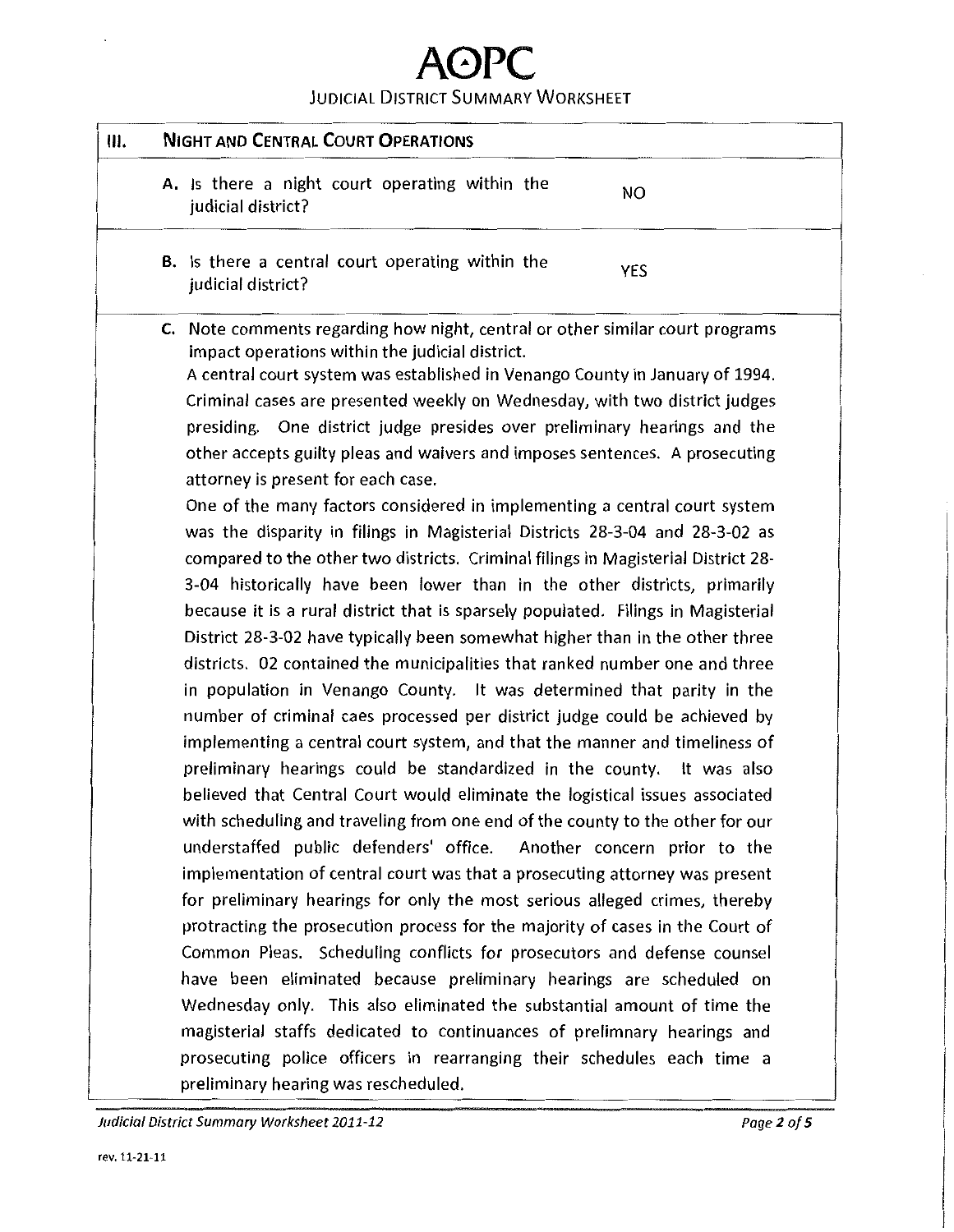### JUDICIAL DISTRICT SUMMARY WORKSHEET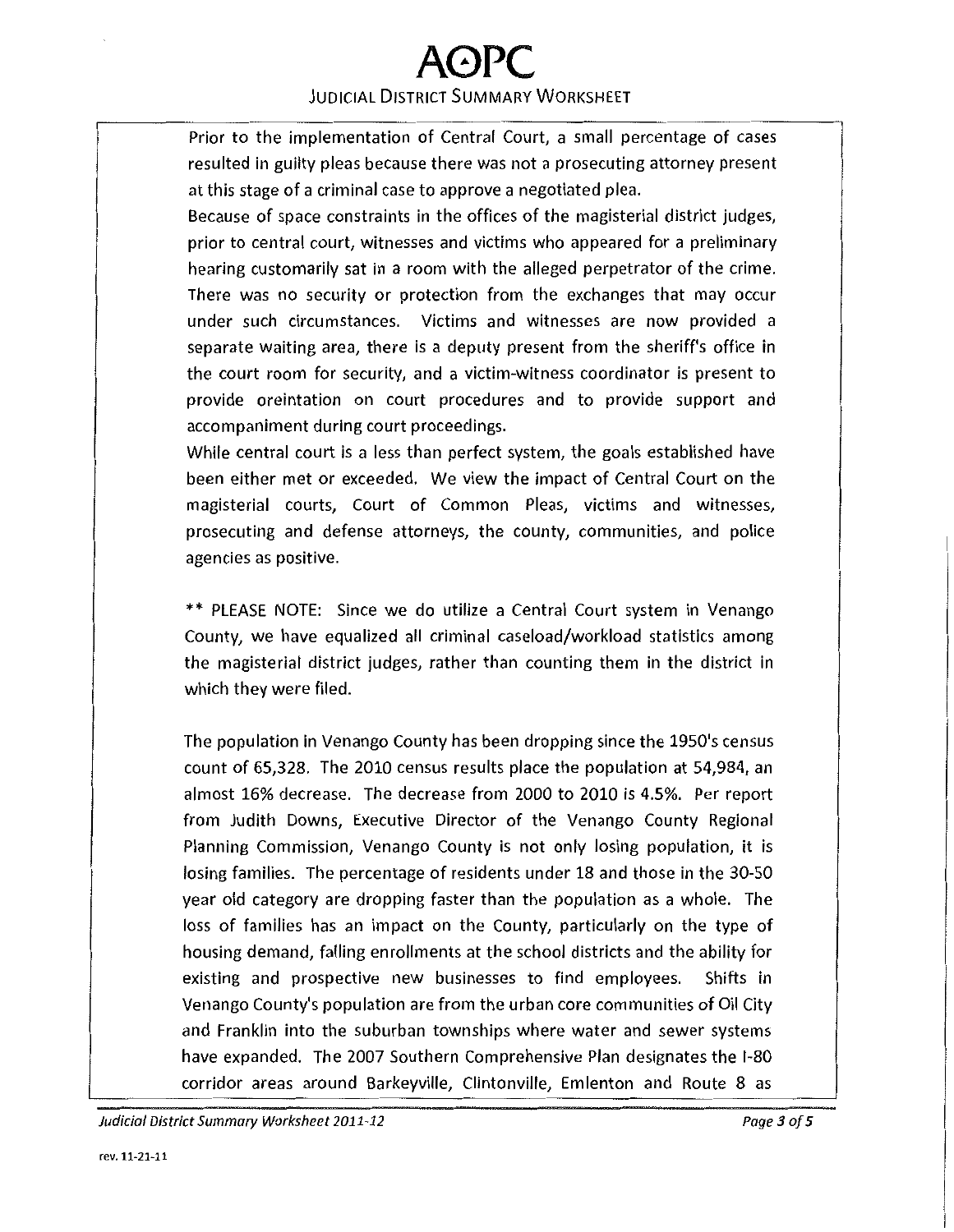## **A0PC**  JUDICIAL DISTRICT SUMMARY WORKSHEET

Prior to the implementation of Central Court, a small percentage of cases resulted in guilty pleas because there was not a prosecuting attorney present at this stage of a criminal case to approve a negotiated plea.

Because of space constraints in the offices of the magisterial district judges, prior to central court, witnesses and victims who appeared for a preliminary hearing customarily sat in a room with the alleged perpetrator of the crime. There was no security or protection from the exchanges that may occur under such circumstances. Victims and witnesses are now provided a separate waiting area, there is a deputy present from the sheriff's office in the court room for security, and a victim-witness coordinator is present to provide oreintation on court procedures and to provide support and accompaniment during court proceedings.

While central court is a less than perfect system, the goals established have been either met or exceeded. We view the impact of Central Court on the magisterial courts, Court of Common Pleas, victims and witnesses, prosecuting and defense attorneys, the county, communities, and police agencies as positive.

\*\* PLEASE NOTE: Since we do utilize a Central Court system in Venango County, we have equalized all criminal caseload/workload statistics among the magisterial district judges, rather than counting them in the district in which they were filed.

The population in Venango County has been dropping since the 1950's census count of 65,328. The 2010 census results place the population at 54,984, an almost 16% decrease. The decrease from 2000 to 2010 is 4.5%. Per report from Judith Downs, Executive Director of the Venango County Regional Planning Commission, Venango County is not only losing population, it is losing families. The percentage of residents under 18 and those in the 30-50 year old category are dropping faster than the population as a whole. The loss of families has an impact on the County, particularly on the type of housing demand, falling enrollments at the school districts and the ability for existing and prospective new businesses to find employees. Shifts in Venango County's population are from the urban core communities of Oil City and Franklin into the suburban townships where water and sewer systems have expanded. The 2007 Southern Comprehensive Plan designates the 1-80 corridor areas around Barkeyville, Clintonville, Emlenton and Route 8 as

Judicial District Summary Worksheet 2011-12 Page3of5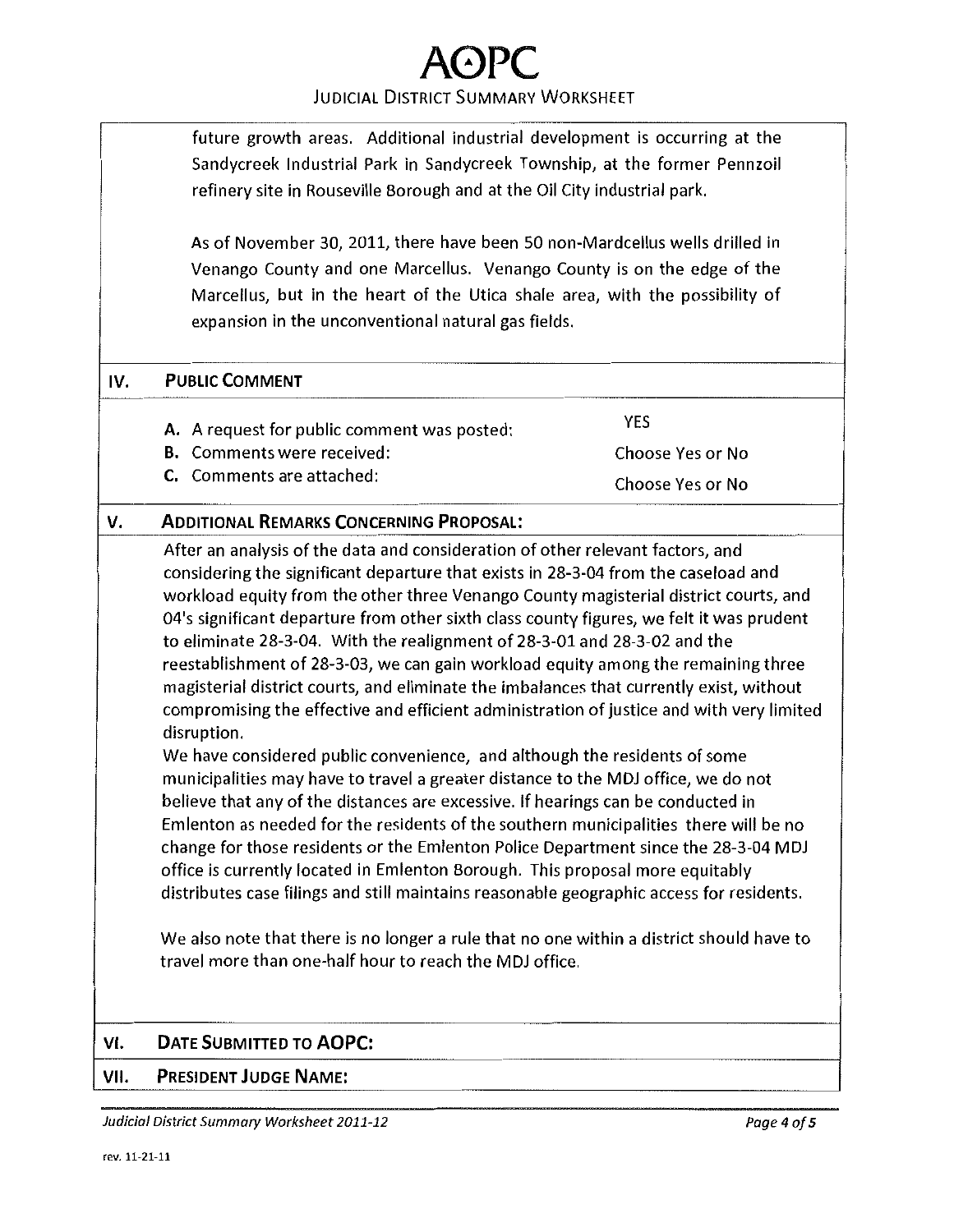#### JUDICIAL DISTRICT SUMMARY WORKSHEET

future growth areas. Additional industrial development is occurring at the Sandycreek Industrial Park in Sandycreek Township, at the former Pennzoil refinery site in Rouseville Borough and at the Oil City industrial park.

As of November 30, 2011, there have been 50 non-Mardcellus wells drilled in Venango County and one Marcellus. Venango County is on the edge of the Marcellus, but in the heart of the Utica shale area, with the possibility of expansion in the unconventional natural gas fields.

#### **IV. PUBLIC COMMENT**

- A. A request for public comment was posted: YES
- **B.** Comments were received: Choose Yes or No
- **C.** Comments are attached: Choose Yes or No

#### **v. ADDITIONAL REMARKS CONCERNING PROPOSAL:**

After an analysis of the data and consideration of other relevant factors, and considering the significant departure that exists in 28-3-04 from the caseload and workload equity from the other three Venango County magisterial district courts, and 04's significant departure from other sixth class county figures, we felt it was prudent to eliminate 28-3-04. With the realignment of 28-3-01 and 28-3-02 and the reestablishment of 28-3-03, we can gain workload equity among the remaining three magisterial district courts, and eliminate the imbalances that currently exist, without compromising the effective and efficient administration of justice and with very limited disruption.

We have considered public convenience, and although the residents of some municipalities may have to travel a greater distance to the MDJ office, we do not believe that any of the distances are excessive. If hearings can be conducted in Emlenton as needed for the residents of the southern municipalities there will be no change for those residents or the Emlenton Police Department since the 28-3-04 MDJ office is currently located in Emlenton Borough. This proposal more equitably distributes case filings and still maintains reasonable geographic access for residents.

We also note that there is no longer a rule that no one within a district should have to travel more than one-half hour to reach the MDJ office.

#### **VI. DATE SUBMITTED TO AOPC:**

#### **VII. PRESIDENT JUDGE NAME:**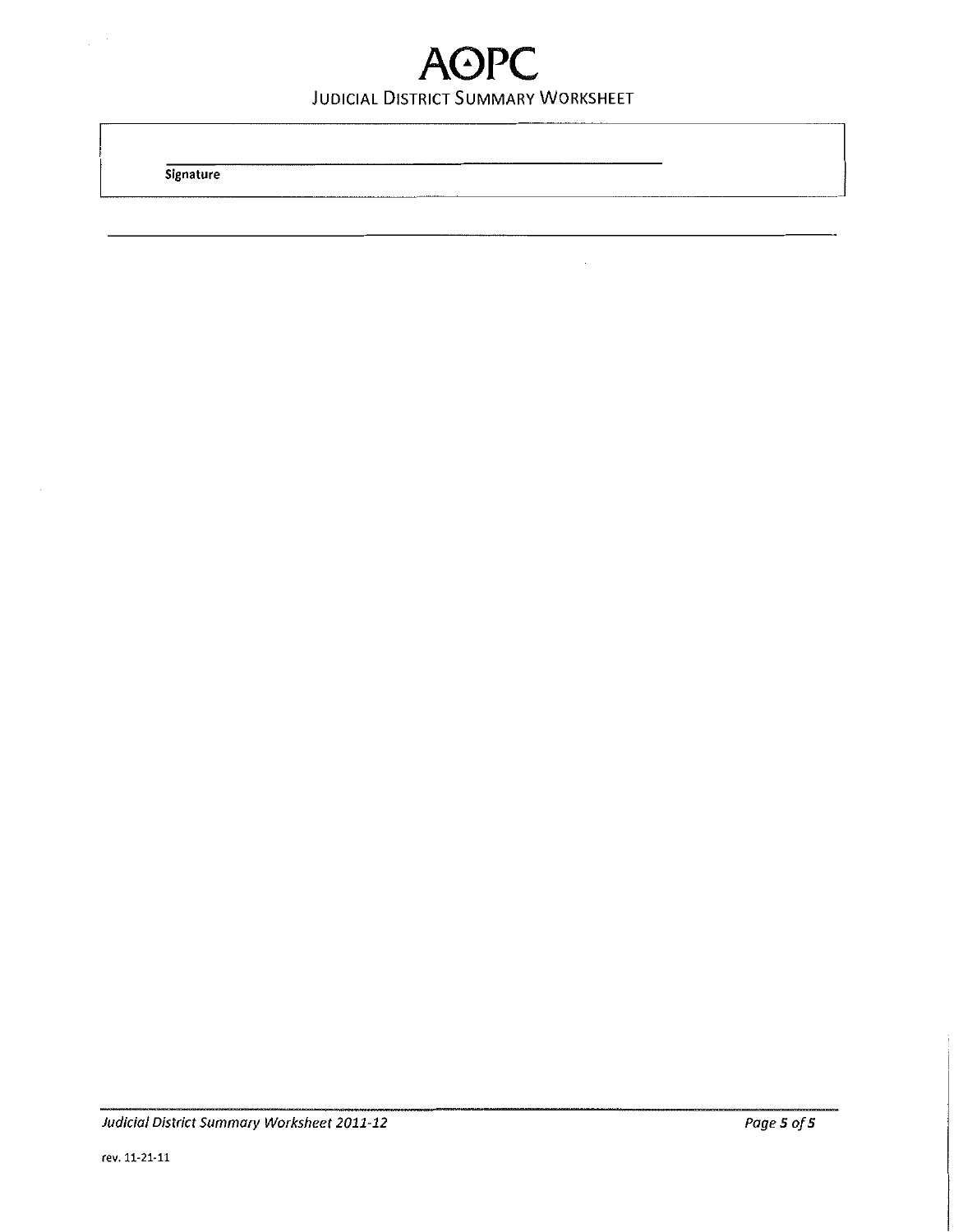## **A0PC**  JUDICIAL DISTRICT SUMMARY WORKSHEET

**Signature**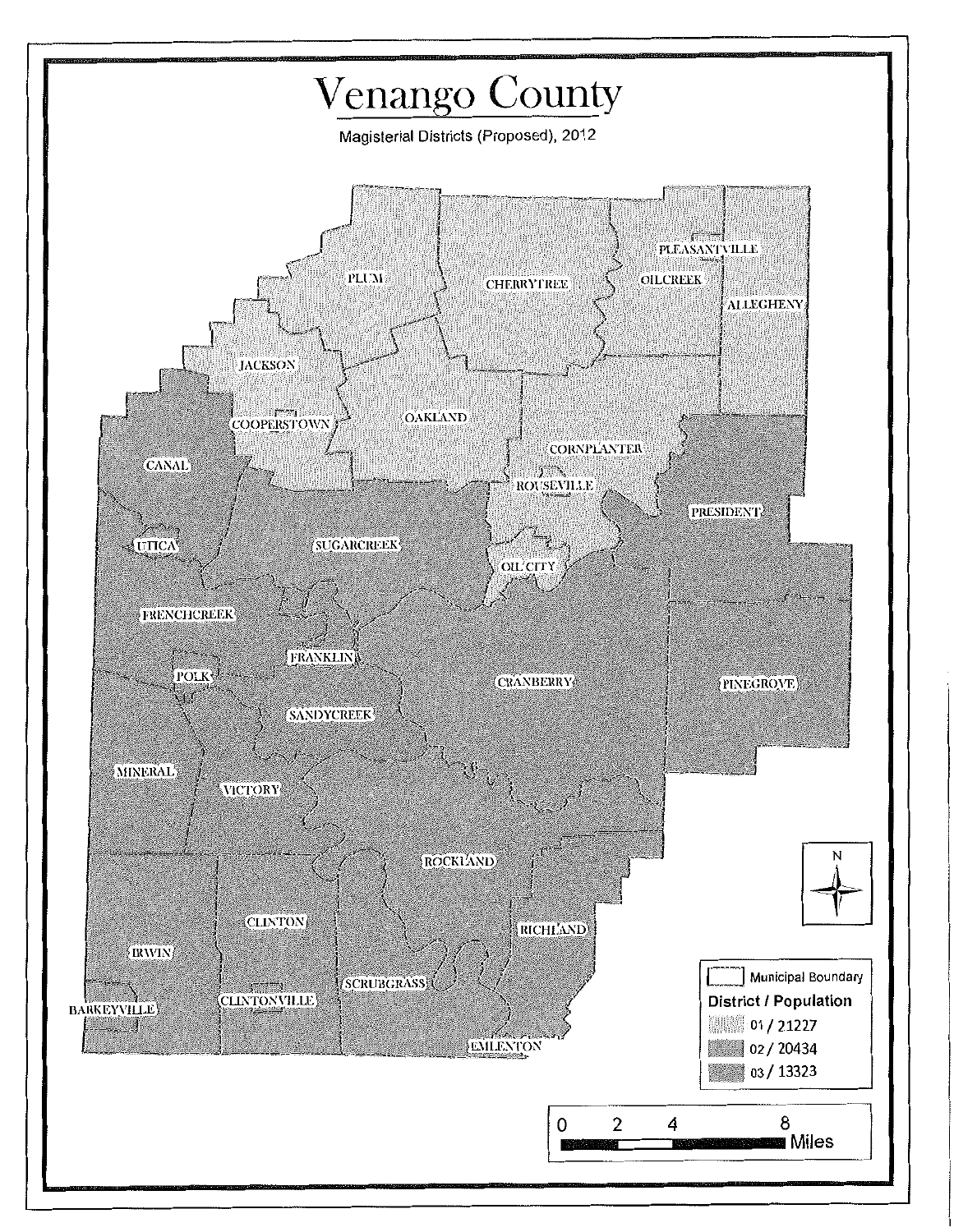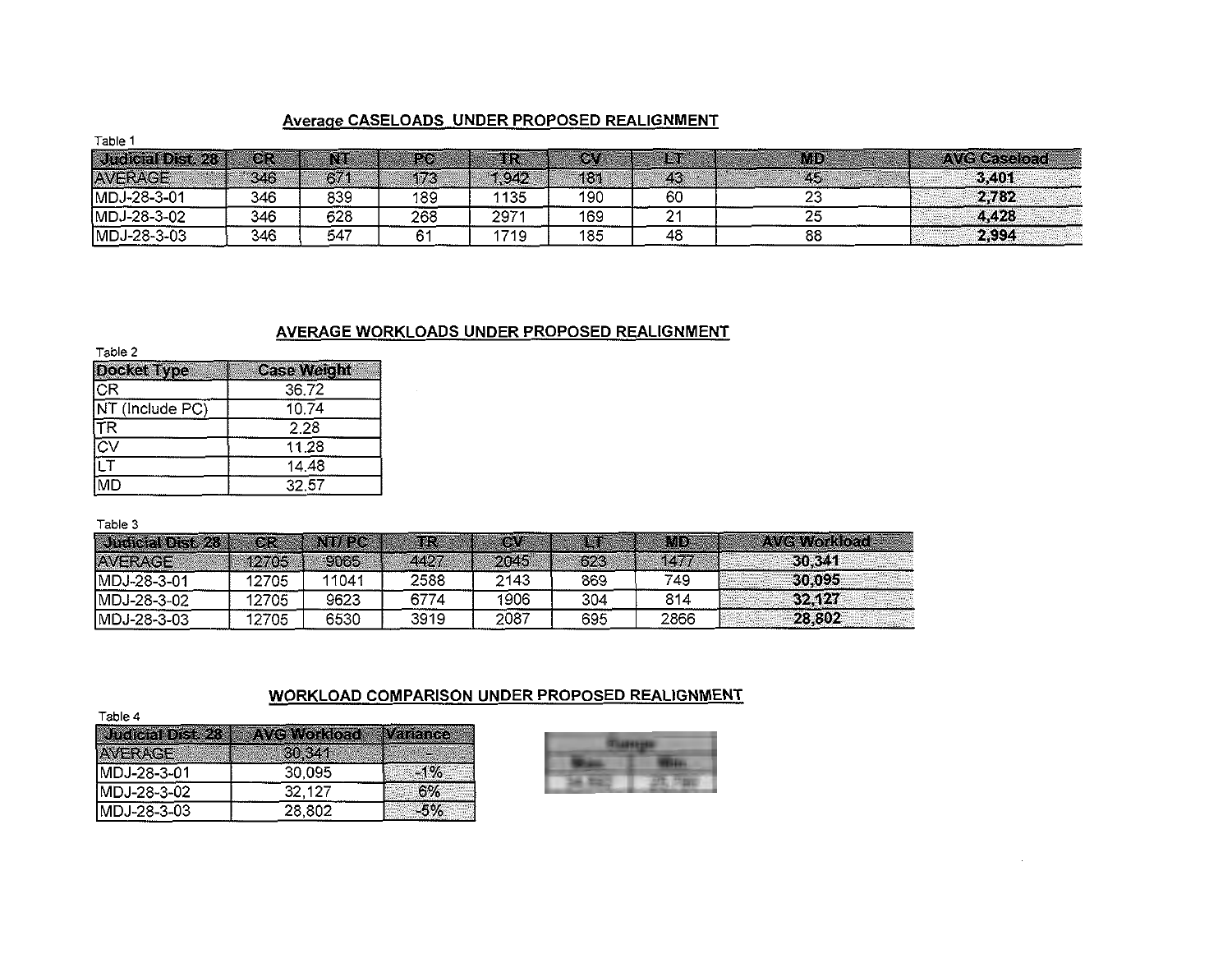#### Average CASELOADS UNDER PROPOSED REALIGNMENT

| .                 |         |     |            |       |       |    |    |                     |
|-------------------|---------|-----|------------|-------|-------|----|----|---------------------|
| Judicial Dist. 28 | $\circ$ |     | <b>FAO</b> |       | íg, " |    | Mp | <b>AVG Caseload</b> |
| <b>AVERAGE</b>    | 346     | 671 | 173        | , 942 | 131   | 43 | 45 | 3,401               |
| MDJ-28-3-01       | 346     | 839 | 189        | 1135  | 190   | 60 | 23 | 2,782               |
| MDJ-28-3-02       | 346     | 628 | 268        | 2971  | 169   | ◠  | 25 | 4,428               |
| MDJ-28-3-03       | 346     | 547 |            | 1719  | 185   | 48 | 88 | 2,994               |

#### AVERAGE WORKLOADS UNDER PROPOSED REALIGNMENT

| Table 2         |                    |
|-----------------|--------------------|
| Docket Type     | <b>Case Weight</b> |
| lcR             | 36.72              |
| NT (Include PC) | 10.74              |
| <b>TR</b>       | 2.28               |
| ত⊽              | 11.28              |
| ĪЕТ             | 14.48              |
| MD              | 32.57              |

Table 3

| Judicial Dist. 28 | CR.   | NT/PC | TR.  | $\circ \cdot$ | <b>All of P</b> | imd. | <b>AVG Workload</b> |
|-------------------|-------|-------|------|---------------|-----------------|------|---------------------|
| AVERAGE           | 12705 | 9065  | 4427 | 2045          | 623             | 1477 | <b>30.341</b>       |
| MDJ-28-3-01       | 12705 | 11041 | 2588 | 2143          | 869             | 749  | 30.095              |
| MDJ-28-3-02       | 12705 | 9623  | 6774 | 1906          | 304             | 814  | 324121              |
| MDJ-28-3-03       | 12705 | 6530  | 3919 | 2087          | 695             | 2866 | 28,802              |

#### WORKLOAD COMPARISON UNDER PROPOSED REALIGNMENT

Table 4

| Judicial Dist 28 | <b>AVG Workload</b> | <b>Variance</b> |
|------------------|---------------------|-----------------|
| <b>AVERAGE</b>   | 30 341              | - 19            |
| IMDJ-28-3-01     | 30.095              | $-1\%$          |
| MDJ-28-3-02      | 32.127              | 6%              |
| IMDJ-28-3-03     | 28,802              | -5%             |

Table 1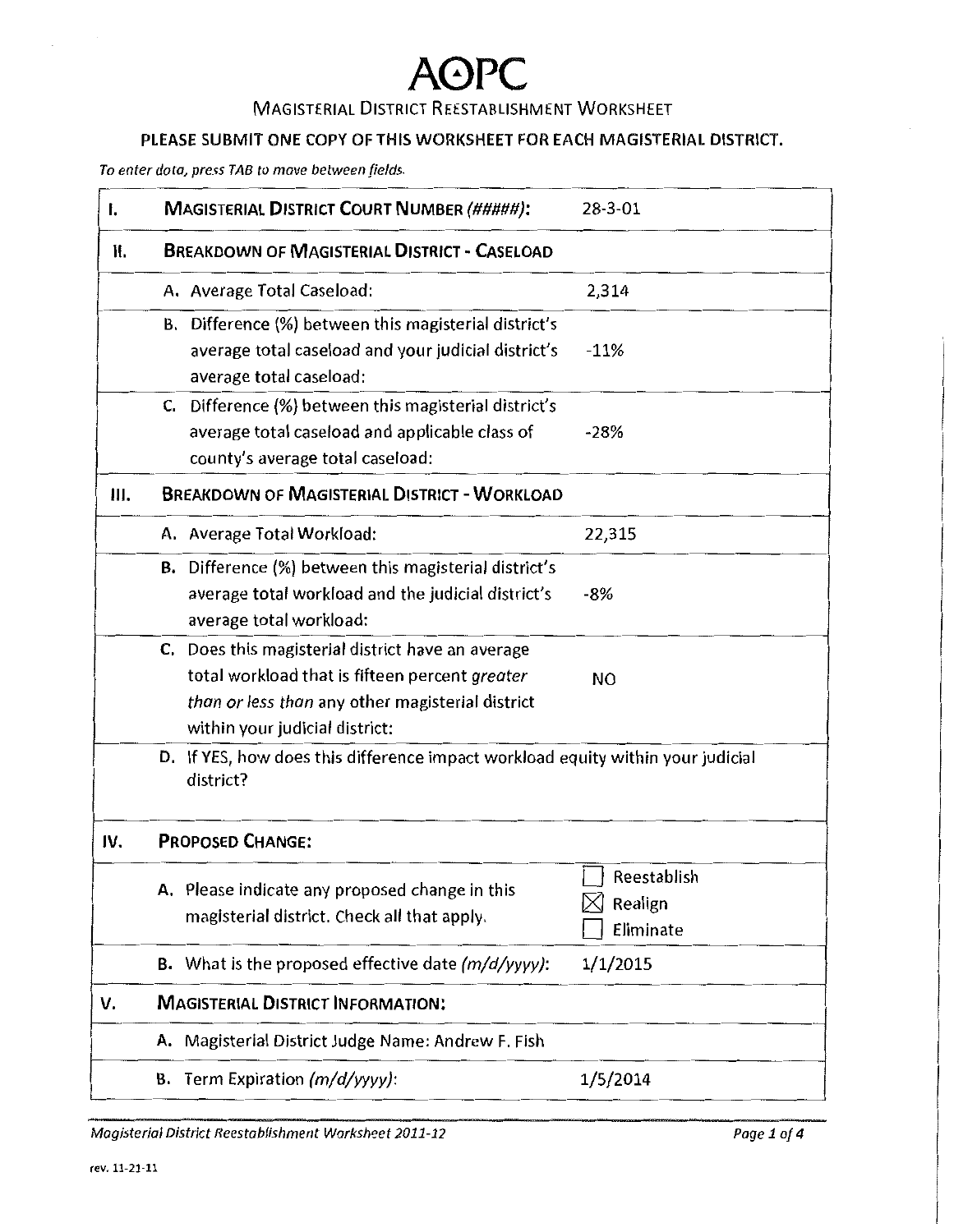### MAGISTERIAL DISTRICT REESTABLISHMENT WORKSHEET

### PLEASE SUBMIT ONE COPY OF THIS WORKSHEET FOR EACH MAGISTERIAL DISTRICT.

*To enter data, press TAB to move between fields.* 

| I.  | <b>MAGISTERIAL DISTRICT COURT NUMBER (#####):</b>                                                                                                                                         | 28-3-01                             |
|-----|-------------------------------------------------------------------------------------------------------------------------------------------------------------------------------------------|-------------------------------------|
| Ⅱ.  | <b>BREAKDOWN OF MAGISTERIAL DISTRICT - CASELOAD</b>                                                                                                                                       |                                     |
|     | A. Average Total Caseload:                                                                                                                                                                | 2,314                               |
|     | B. Difference (%) between this magisterial district's<br>average total caseload and your judicial district's<br>average total caseload:                                                   | $-11%$                              |
|     | C. Difference (%) between this magisterial district's<br>average total caseload and applicable class of<br>county's average total caseload:                                               | $-28%$                              |
| Ш.  | <b>BREAKDOWN OF MAGISTERIAL DISTRICT - WORKLOAD</b>                                                                                                                                       |                                     |
|     | A. Average Total Workload:                                                                                                                                                                | 22,315                              |
|     | <b>B.</b> Difference (%) between this magisterial district's<br>average total workload and the judicial district's<br>average total workload:                                             | $-8%$                               |
|     | C. Does this magisterial district have an average<br>total workload that is fifteen percent greater<br>than or less than any other magisterial district<br>within your judicial district: | <b>NO</b>                           |
|     | D. If YES, how does this difference impact workload equity within your judicial<br>district?                                                                                              |                                     |
| IV. | <b>PROPOSED CHANGE:</b>                                                                                                                                                                   |                                     |
|     | A. Please indicate any proposed change in this<br>magisterial district. Check all that apply.                                                                                             | Reestablish<br>Realign<br>Eliminate |
|     | <b>B.</b> What is the proposed effective date $(m/d/yyyy)$ :                                                                                                                              | 1/1/2015                            |
| v.  | <b>MAGISTERIAL DISTRICT INFORMATION:</b>                                                                                                                                                  |                                     |
|     | A. Magisterial District Judge Name: Andrew F. Fish                                                                                                                                        |                                     |
|     | <b>B.</b> Term Expiration $(m/d/yyyy)$ :                                                                                                                                                  | 1/5/2014                            |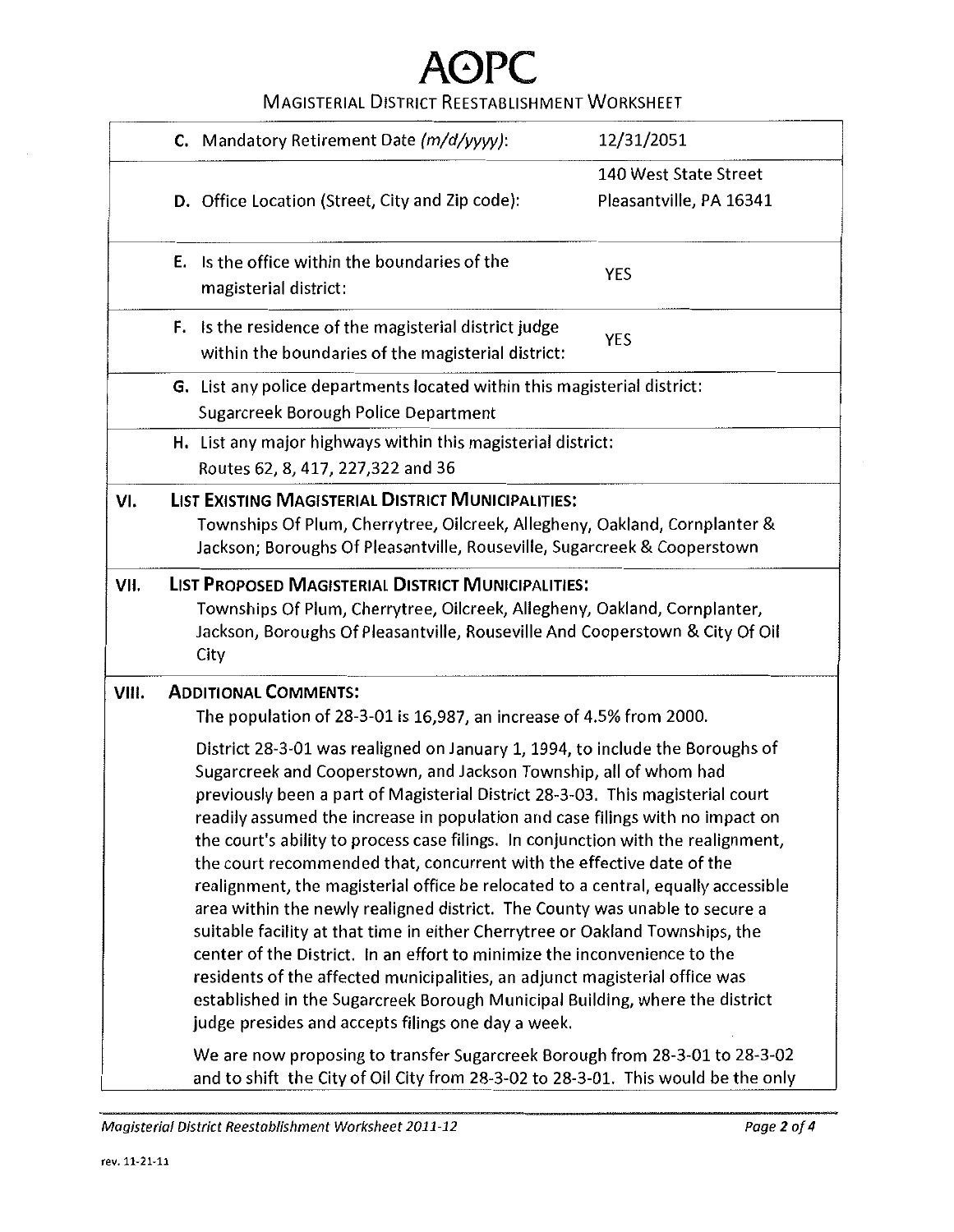### MAGISTERIAL DISTRICT REESTABLISHMENT WORKSHEET

|       | C. Mandatory Retirement Date (m/d/yyyy):                                                                                                                                                                                                                                                                                                                                                                                                                                                                                                                                                                                                                                                                                                                                                                                                                                                                                                                                                                                                                                                                          | 12/31/2051              |
|-------|-------------------------------------------------------------------------------------------------------------------------------------------------------------------------------------------------------------------------------------------------------------------------------------------------------------------------------------------------------------------------------------------------------------------------------------------------------------------------------------------------------------------------------------------------------------------------------------------------------------------------------------------------------------------------------------------------------------------------------------------------------------------------------------------------------------------------------------------------------------------------------------------------------------------------------------------------------------------------------------------------------------------------------------------------------------------------------------------------------------------|-------------------------|
|       |                                                                                                                                                                                                                                                                                                                                                                                                                                                                                                                                                                                                                                                                                                                                                                                                                                                                                                                                                                                                                                                                                                                   | 140 West State Street   |
|       | D. Office Location (Street, City and Zip code):                                                                                                                                                                                                                                                                                                                                                                                                                                                                                                                                                                                                                                                                                                                                                                                                                                                                                                                                                                                                                                                                   | Pleasantville, PA 16341 |
|       | <b>E.</b> Is the office within the boundaries of the<br>magisterial district:                                                                                                                                                                                                                                                                                                                                                                                                                                                                                                                                                                                                                                                                                                                                                                                                                                                                                                                                                                                                                                     | <b>YES</b>              |
|       | F. Is the residence of the magisterial district judge<br>within the boundaries of the magisterial district:                                                                                                                                                                                                                                                                                                                                                                                                                                                                                                                                                                                                                                                                                                                                                                                                                                                                                                                                                                                                       | YES                     |
|       | G. List any police departments located within this magisterial district:<br>Sugarcreek Borough Police Department                                                                                                                                                                                                                                                                                                                                                                                                                                                                                                                                                                                                                                                                                                                                                                                                                                                                                                                                                                                                  |                         |
|       | H. List any major highways within this magisterial district:<br>Routes 62, 8, 417, 227,322 and 36                                                                                                                                                                                                                                                                                                                                                                                                                                                                                                                                                                                                                                                                                                                                                                                                                                                                                                                                                                                                                 |                         |
| VI.   | LIST EXISTING MAGISTERIAL DISTRICT MUNICIPALITIES:<br>Townships Of Plum, Cherrytree, Oilcreek, Allegheny, Oakland, Cornplanter &<br>Jackson; Boroughs Of Pleasantville, Rouseville, Sugarcreek & Cooperstown                                                                                                                                                                                                                                                                                                                                                                                                                                                                                                                                                                                                                                                                                                                                                                                                                                                                                                      |                         |
| VII.  | LIST PROPOSED MAGISTERIAL DISTRICT MUNICIPALITIES:<br>Townships Of Plum, Cherrytree, Oilcreek, Allegheny, Oakland, Cornplanter,<br>Jackson, Boroughs Of Pleasantville, Rouseville And Cooperstown & City Of Oil<br>City                                                                                                                                                                                                                                                                                                                                                                                                                                                                                                                                                                                                                                                                                                                                                                                                                                                                                           |                         |
| VIII. | <b>ADDITIONAL COMMENTS:</b>                                                                                                                                                                                                                                                                                                                                                                                                                                                                                                                                                                                                                                                                                                                                                                                                                                                                                                                                                                                                                                                                                       |                         |
|       | The population of 28-3-01 is 16,987, an increase of 4.5% from 2000.<br>District 28-3-01 was realigned on January 1, 1994, to include the Boroughs of<br>Sugarcreek and Cooperstown, and Jackson Township, all of whom had<br>previously been a part of Magisterial District 28-3-03. This magisterial court<br>readily assumed the increase in population and case filings with no impact on<br>the court's ability to process case filings. In conjunction with the realignment,<br>the court recommended that, concurrent with the effective date of the<br>realignment, the magisterial office be relocated to a central, equally accessible<br>area within the newly realigned district. The County was unable to secure a<br>suitable facility at that time in either Cherrytree or Oakland Townships, the<br>center of the District. In an effort to minimize the inconvenience to the<br>residents of the affected municipalities, an adjunct magisterial office was<br>established in the Sugarcreek Borough Municipal Building, where the district<br>judge presides and accepts filings one day a week. |                         |
|       | We are now proposing to transfer Sugarcreek Borough from 28-3-01 to 28-3-02<br>and to shift the City of Oil City from 28-3-02 to 28-3-01. This would be the only                                                                                                                                                                                                                                                                                                                                                                                                                                                                                                                                                                                                                                                                                                                                                                                                                                                                                                                                                  |                         |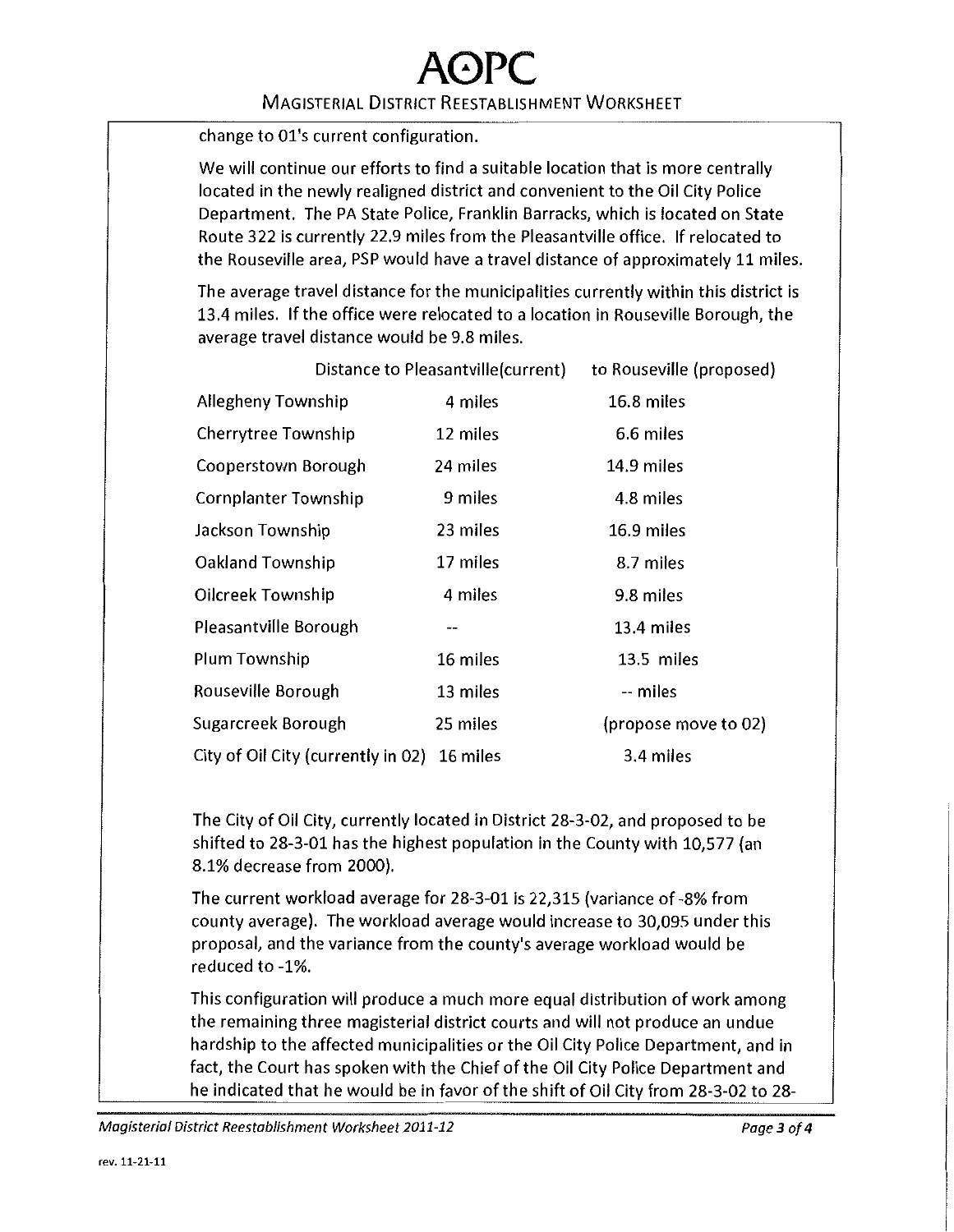### A0PC MAGISTERIAL DISTRICT REESTABLISHMENT WORKSHEET

change to 01's current configuration.

We will continue our efforts to find a suitable location that is more centrally located in the newly realigned district and convenient to the Oil City Police Department. The PA State Police, Franklin Barracks, which is located on State Route 322 is currently 22.9 miles from the Pleasantville office. If relocated to the Rouseville area, PSP would have a travel distance of approximately 11 miles.

The average travel distance for the municipalities currently within this district is 13.4 miles. If the office were relocated to a location in Rouseville Borough, the average travel distance would be 9.8 miles.

|                                             | Distance to Pleasantville(current) | to Rouseville (proposed) |
|---------------------------------------------|------------------------------------|--------------------------|
| Allegheny Township                          | 4 miles                            | 16.8 miles               |
| Cherrytree Township                         | 12 miles                           | 6.6 miles                |
| Cooperstown Borough                         | 24 miles                           | 14.9 miles               |
| <b>Cornplanter Township</b>                 | 9 miles                            | 4.8 miles                |
| Jackson Township                            | 23 miles                           | 16.9 miles               |
| Oakland Township                            | 17 miles                           | 8.7 miles                |
| Oilcreek Township                           | 4 miles                            | 9.8 miles                |
| Pleasantville Borough                       | --                                 | 13.4 miles               |
| Plum Township                               | 16 miles                           | 13.5 miles               |
| Rouseville Borough                          | 13 miles                           | -- miles                 |
| Sugarcreek Borough                          | 25 miles                           | (propose move to 02)     |
| City of Oil City (currently in 02) 16 miles |                                    | 3.4 miles                |

The City of Oil City, currently located in District 28-3-02, and proposed to be shifted to 28-3-01 has the highest population in the County with 10,577 (an 8.1% decrease from 2000).

The current workload average for 28-3-01 is 22,315 (variance of -8% from county average). The workload average would increase to 30,095 under this proposal, and the variance from the county's average workload would be reduced to -1%.

This configuration will produce a much more equal distribution of work among the remaining three magisterial district courts and will not produce an undue hardship to the affected municipalities or the Oil City Police Department, and in fact, the Court has spoken with the Chief of the Oil City Police Department and he indicated that he would be in favor of the shift of Oil City from 28-3-02 to 28-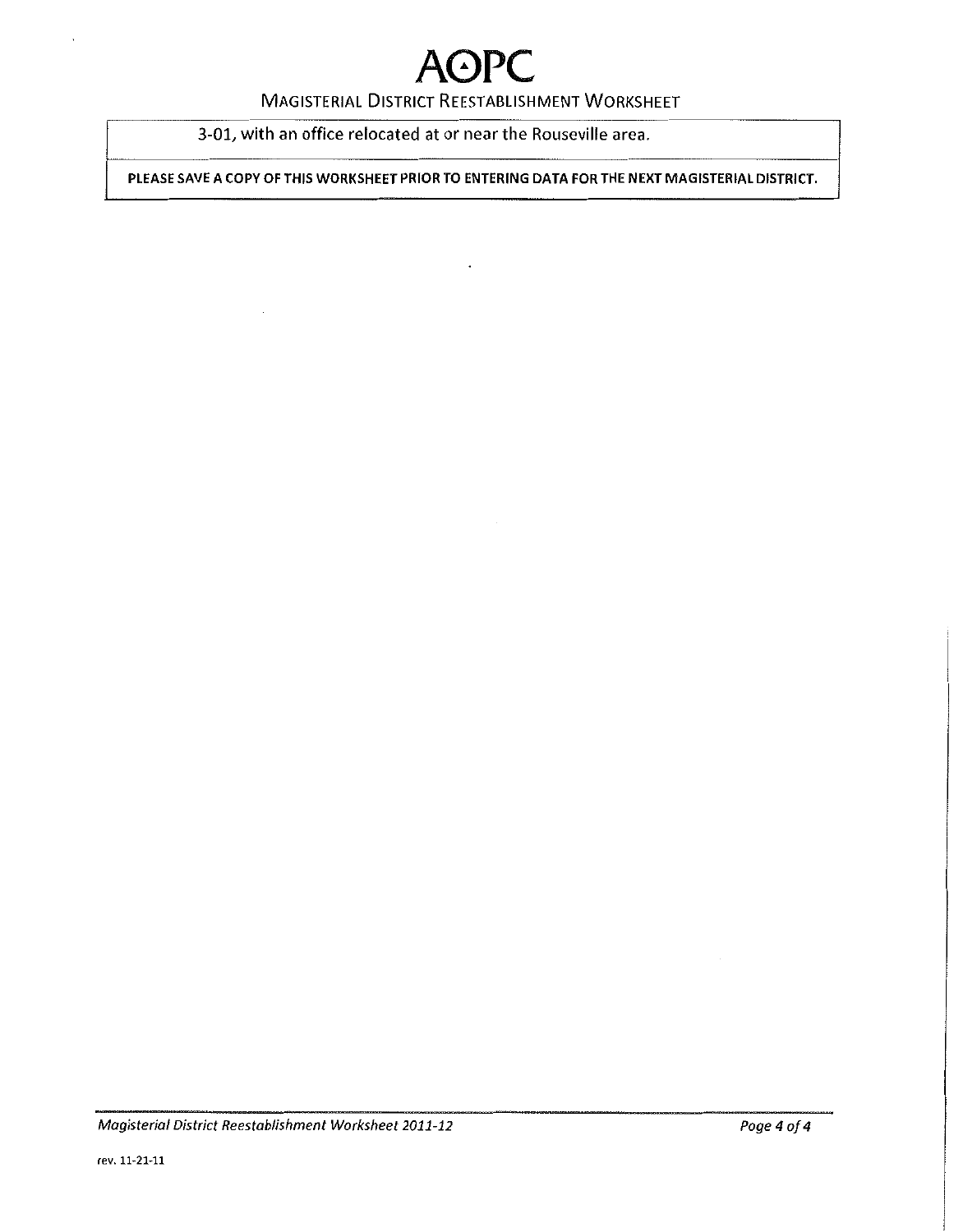#### MAGISTERIAL DISTRICT REESTABLISHMENT WORKSHEET

3-01, with an office relocated at or near the Rouseville area.

PLEASE SAVE A COPY OF THIS WORKSHEET PRIOR TO ENTERING DATA FOR THE NEXT MAGISTERIAL DISTRICT.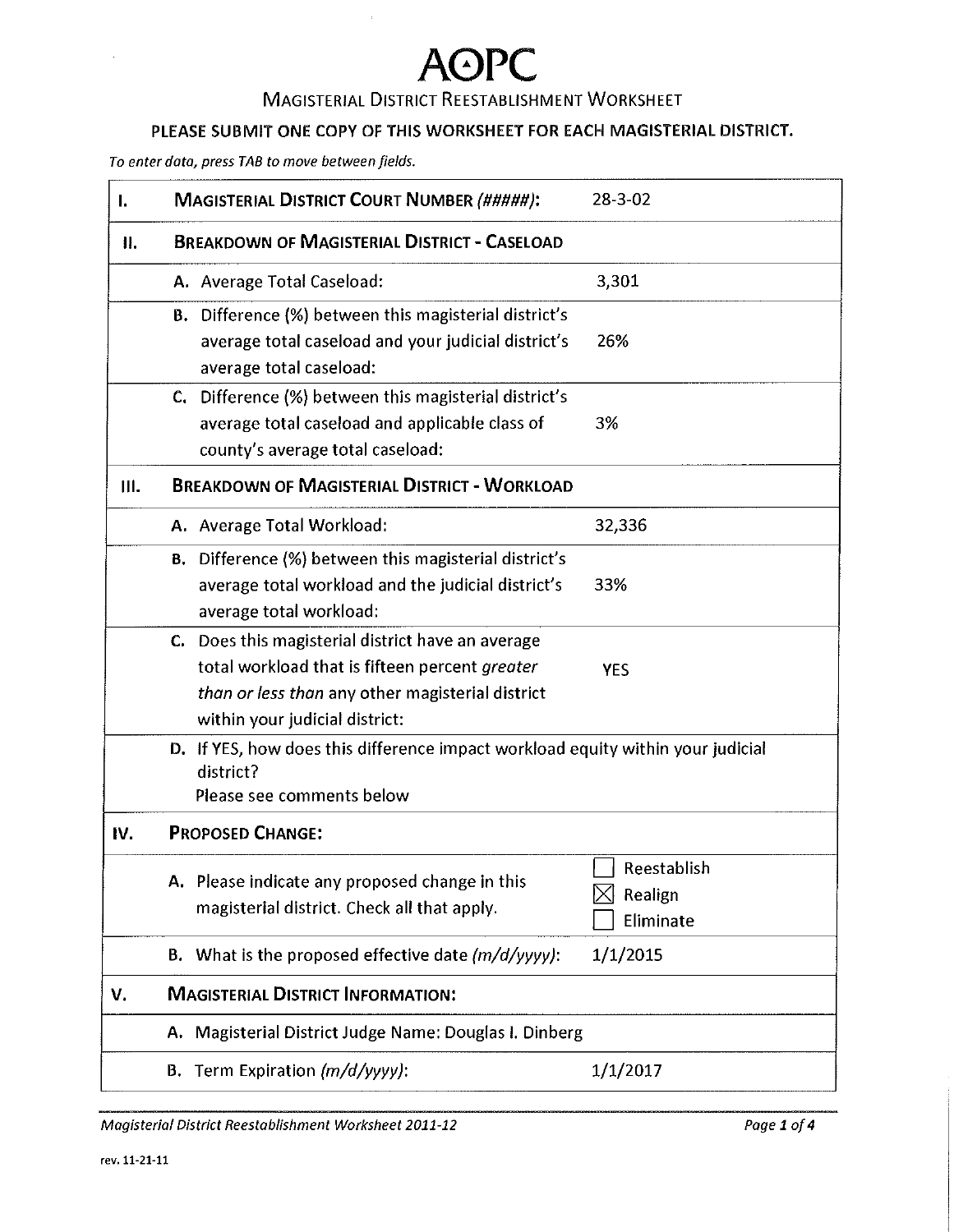### MAGISTERIAL DISTRICT REESTABLISHMENT WORKSHEET

#### PLEASE SUBMIT ONE COPY OF THIS WORKSHEET FOR EACH MAGISTERIAL DISTRICT.

*To enter data, press TAB to move between fields.* 

| ı.  | <b>MAGISTERIAL DISTRICT COURT NUMBER (#####):</b>                                                                                                                                         | $28 - 3 - 02$                       |
|-----|-------------------------------------------------------------------------------------------------------------------------------------------------------------------------------------------|-------------------------------------|
| II. | <b>BREAKDOWN OF MAGISTERIAL DISTRICT - CASELOAD</b>                                                                                                                                       |                                     |
|     | A. Average Total Caseload:                                                                                                                                                                | 3,301                               |
|     | <b>B.</b> Difference (%) between this magisterial district's<br>average total caseload and your judicial district's<br>average total caseload:                                            | 26%                                 |
|     | C. Difference (%) between this magisterial district's<br>average total caseload and applicable class of<br>county's average total caseload:                                               | 3%                                  |
| Ш.  | <b>BREAKDOWN OF MAGISTERIAL DISTRICT - WORKLOAD</b>                                                                                                                                       |                                     |
|     | A. Average Total Workload:                                                                                                                                                                | 32,336                              |
|     | <b>B.</b> Difference (%) between this magisterial district's<br>average total workload and the judicial district's<br>average total workload:                                             | 33%                                 |
|     | C. Does this magisterial district have an average<br>total workload that is fifteen percent greater<br>than or less than any other magisterial district<br>within your judicial district: | <b>YES</b>                          |
|     | D. If YES, how does this difference impact workload equity within your judicial<br>district?<br>Please see comments below                                                                 |                                     |
| IV. | <b>PROPOSED CHANGE:</b>                                                                                                                                                                   |                                     |
|     | A. Please indicate any proposed change in this<br>magisterial district. Check all that apply.                                                                                             | Reestablish<br>Realign<br>Eliminate |
|     | <b>B.</b> What is the proposed effective date $(m/d/yyy$ .                                                                                                                                | 1/1/2015                            |
| v.  | <b>MAGISTERIAL DISTRICT INFORMATION:</b>                                                                                                                                                  |                                     |
|     | A. Magisterial District Judge Name: Douglas I. Dinberg                                                                                                                                    |                                     |
|     | <b>B.</b> Term Expiration $(m/d/yyyy)$ :                                                                                                                                                  | 1/1/2017                            |

*Magisterial District Reestablishment Worksheet 2011-12 Page 1 of4*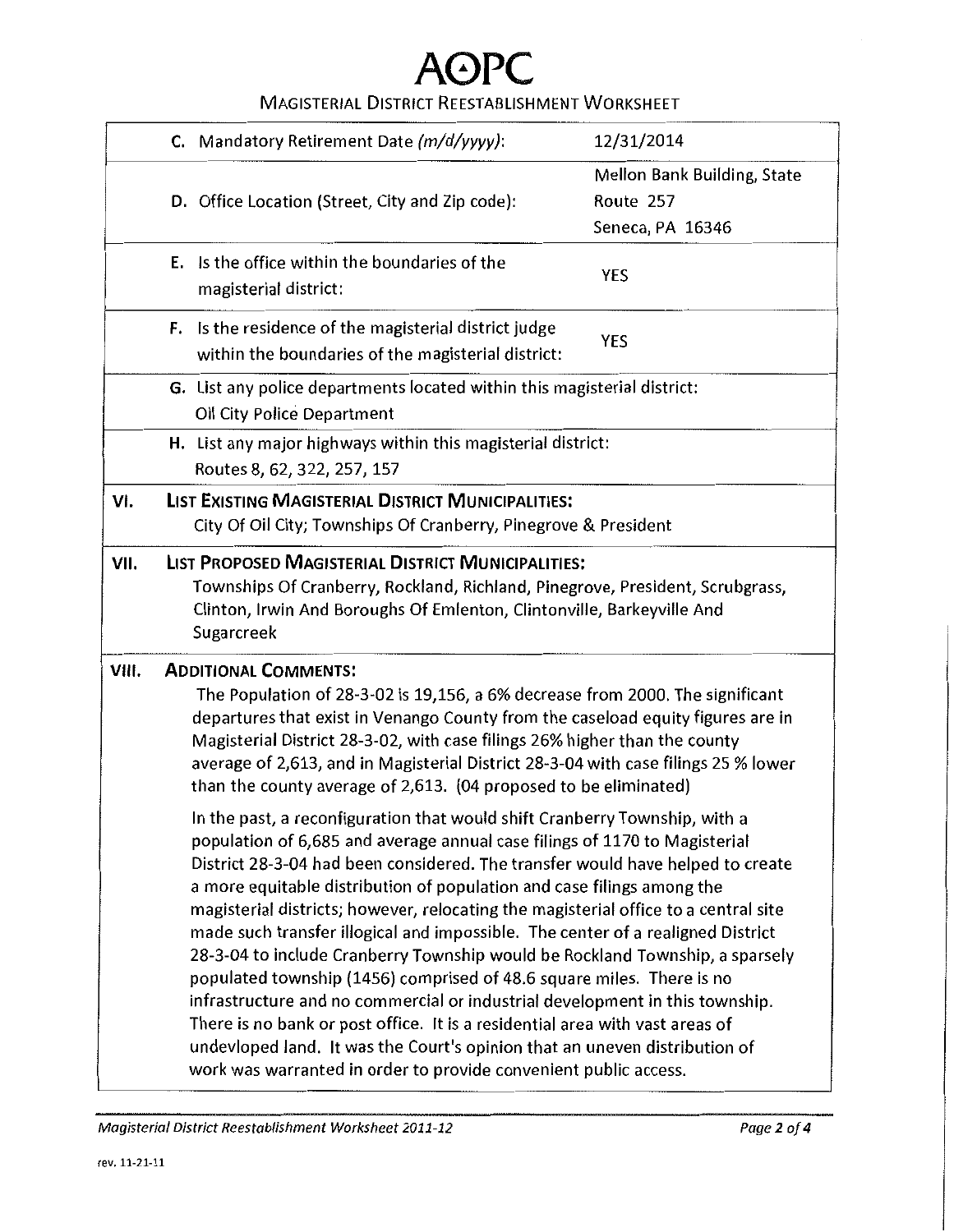MAGISTERIAL DISTRICT REESTABLISHMENT WORKSHEET

|       | C. Mandatory Retirement Date (m/d/yyyy):                                                                                                                                                                                                                                                                                                                                                                                                                                                                                                                                                                                                                                                                                                                                                                                                                                                                                                                                  | 12/31/2014                                                   |
|-------|---------------------------------------------------------------------------------------------------------------------------------------------------------------------------------------------------------------------------------------------------------------------------------------------------------------------------------------------------------------------------------------------------------------------------------------------------------------------------------------------------------------------------------------------------------------------------------------------------------------------------------------------------------------------------------------------------------------------------------------------------------------------------------------------------------------------------------------------------------------------------------------------------------------------------------------------------------------------------|--------------------------------------------------------------|
|       | D. Office Location (Street, City and Zip code):                                                                                                                                                                                                                                                                                                                                                                                                                                                                                                                                                                                                                                                                                                                                                                                                                                                                                                                           | Mellon Bank Building, State<br>Route 257<br>Seneca, PA 16346 |
|       | <b>E.</b> Is the office within the boundaries of the<br>magisterial district:                                                                                                                                                                                                                                                                                                                                                                                                                                                                                                                                                                                                                                                                                                                                                                                                                                                                                             | <b>YES</b>                                                   |
|       | <b>F.</b> Is the residence of the magisterial district judge<br>within the boundaries of the magisterial district:                                                                                                                                                                                                                                                                                                                                                                                                                                                                                                                                                                                                                                                                                                                                                                                                                                                        | <b>YES</b>                                                   |
|       | G. List any police departments located within this magisterial district:<br>Oil City Police Department                                                                                                                                                                                                                                                                                                                                                                                                                                                                                                                                                                                                                                                                                                                                                                                                                                                                    |                                                              |
|       | H. List any major highways within this magisterial district:<br>Routes 8, 62, 322, 257, 157                                                                                                                                                                                                                                                                                                                                                                                                                                                                                                                                                                                                                                                                                                                                                                                                                                                                               |                                                              |
| VI.   | <b>LIST EXISTING MAGISTERIAL DISTRICT MUNICIPALITIES:</b><br>City Of Oil City; Townships Of Cranberry, Pinegrove & President                                                                                                                                                                                                                                                                                                                                                                                                                                                                                                                                                                                                                                                                                                                                                                                                                                              |                                                              |
| VII.  | LIST PROPOSED MAGISTERIAL DISTRICT MUNICIPALITIES:<br>Townships Of Cranberry, Rockland, Richland, Pinegrove, President, Scrubgrass,<br>Clinton, Irwin And Boroughs Of Emlenton, Clintonville, Barkeyville And<br>Sugarcreek                                                                                                                                                                                                                                                                                                                                                                                                                                                                                                                                                                                                                                                                                                                                               |                                                              |
| VIII. | <b>ADDITIONAL COMMENTS:</b><br>The Population of 28-3-02 is 19,156, a 6% decrease from 2000. The significant<br>departures that exist in Venango County from the caseload equity figures are in<br>Magisterial District 28-3-02, with case filings 26% higher than the county<br>average of 2,613, and in Magisterial District 28-3-04 with case filings 25 % lower<br>than the county average of 2,613. (04 proposed to be eliminated)                                                                                                                                                                                                                                                                                                                                                                                                                                                                                                                                   |                                                              |
|       | In the past, a reconfiguration that would shift Cranberry Township, with a<br>population of 6,685 and average annual case filings of 1170 to Magisterial<br>District 28-3-04 had been considered. The transfer would have helped to create<br>a more equitable distribution of population and case filings among the<br>magisterial districts; however, relocating the magisterial office to a central site<br>made such transfer illogical and impossible. The center of a realigned District<br>28-3-04 to include Cranberry Township would be Rockland Township, a sparsely<br>populated township (1456) comprised of 48.6 square miles. There is no<br>infrastructure and no commercial or industrial development in this township.<br>There is no bank or post office. It is a residential area with vast areas of<br>undevloped land. It was the Court's opinion that an uneven distribution of<br>work was warranted in order to provide convenient public access. |                                                              |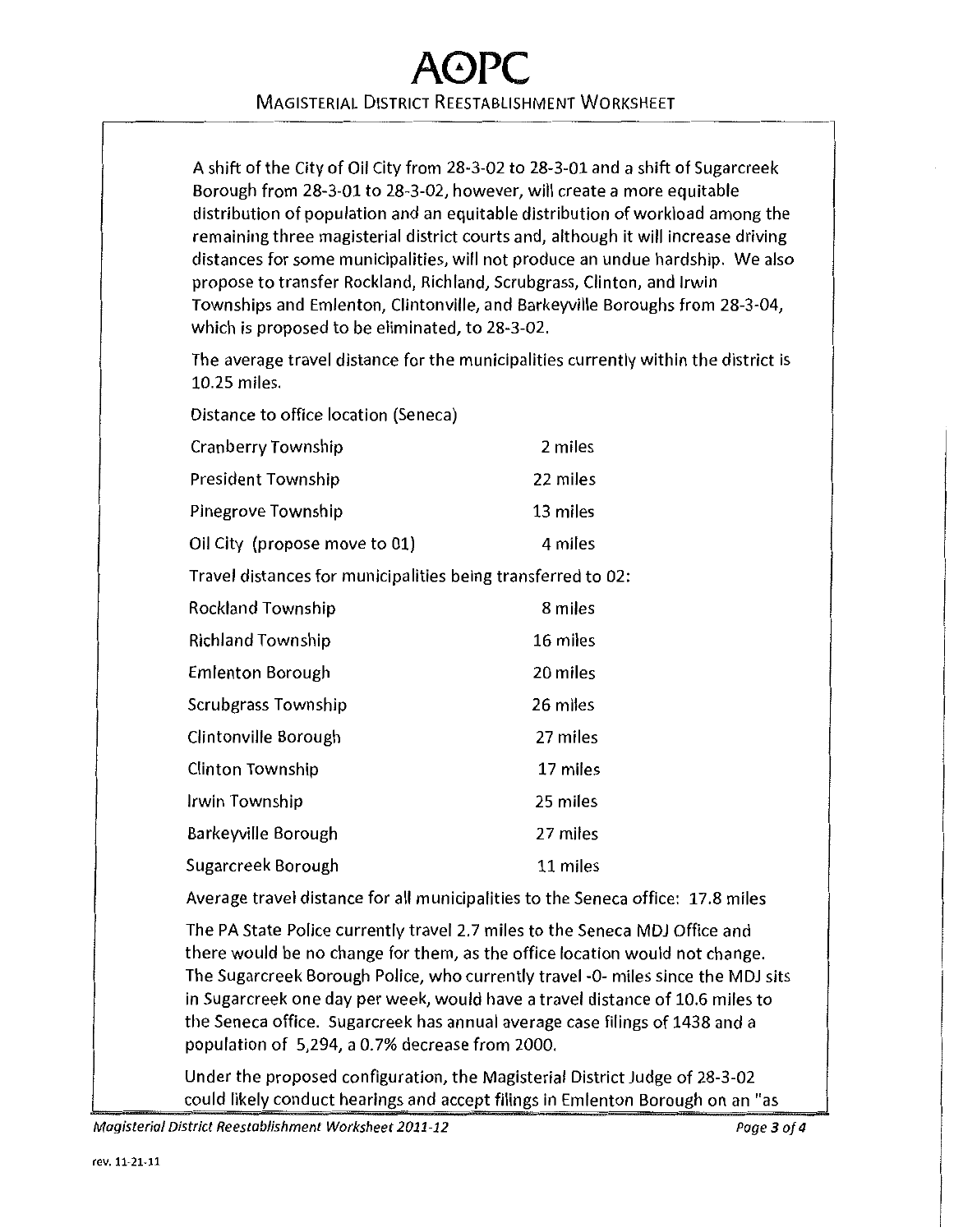## **A0PC**  MAGISTERIAL DISTRICT REESTABLISHMENT WORKSHEET

A shift of the City of Oil City from 28-3-02 to 28-3-01 and a shift of Sugarcreek Borough from 28-3-01 to 28-3-02, however, will create a more equitable distribution of population and an equitable distribution of workload among the remaining three magisterial district courts and, although it will increase driving distances for some municipalities, will not produce an undue hardship. We also propose to transfer Rockland, Richland, Scrubgrass, Clinton, and Irwin Townships and Emlenton, Clintonville, and Barkeyville Boroughs from 28-3-04, which is proposed to be eliminated, to 28-3-02.

The average travel distance for the municipalities currently within the district is 10.25 miles.

Distance to office location (Seneca)

| Cranberry Township            | 2 miles  |
|-------------------------------|----------|
| President Township            | 22 miles |
| Pinegrove Township            | 13 miles |
| Oil City (propose move to 01) | 4 miles  |
|                               |          |

Travel distances for municipalities being transferred to 02:

| <b>Rockland Township</b> | 8 miles  |
|--------------------------|----------|
| <b>Richland Township</b> | 16 miles |
| <b>Emlenton Borough</b>  | 20 miles |
| Scrubgrass Township      | 26 miles |
| Clintonville Borough     | 27 miles |
| Clinton Township         | 17 miles |
| Irwin Township           | 25 miles |
| Barkeyville Borough      | 27 miles |
| Sugarcreek Borough       | 11 miles |
|                          |          |

Average travel distance for all municipalities to the Seneca office: 17.8 miles

The PA State Police currently travel 2.7 miles to the Seneca MDJ Office and there would be no change for them, as the office location would not change. The Sugarcreek Borough Police, who currently travel -0- miles since the MDJ sits in Sugarcreek one day per week, would have a travel distance of 10.6 miles to the Seneca office. Sugarcreek has annual average case filings of 1438 and a population of 5,294, a 0.7% decrease from 2000.

Under the proposed configuration, the Magisterial District Judge of 28-3-02 could likely conduct hearings and accept filings in Emlenton Borough on an "as

Magisterial District Reestablishment Worksheet 2011-12 Page 3 of 4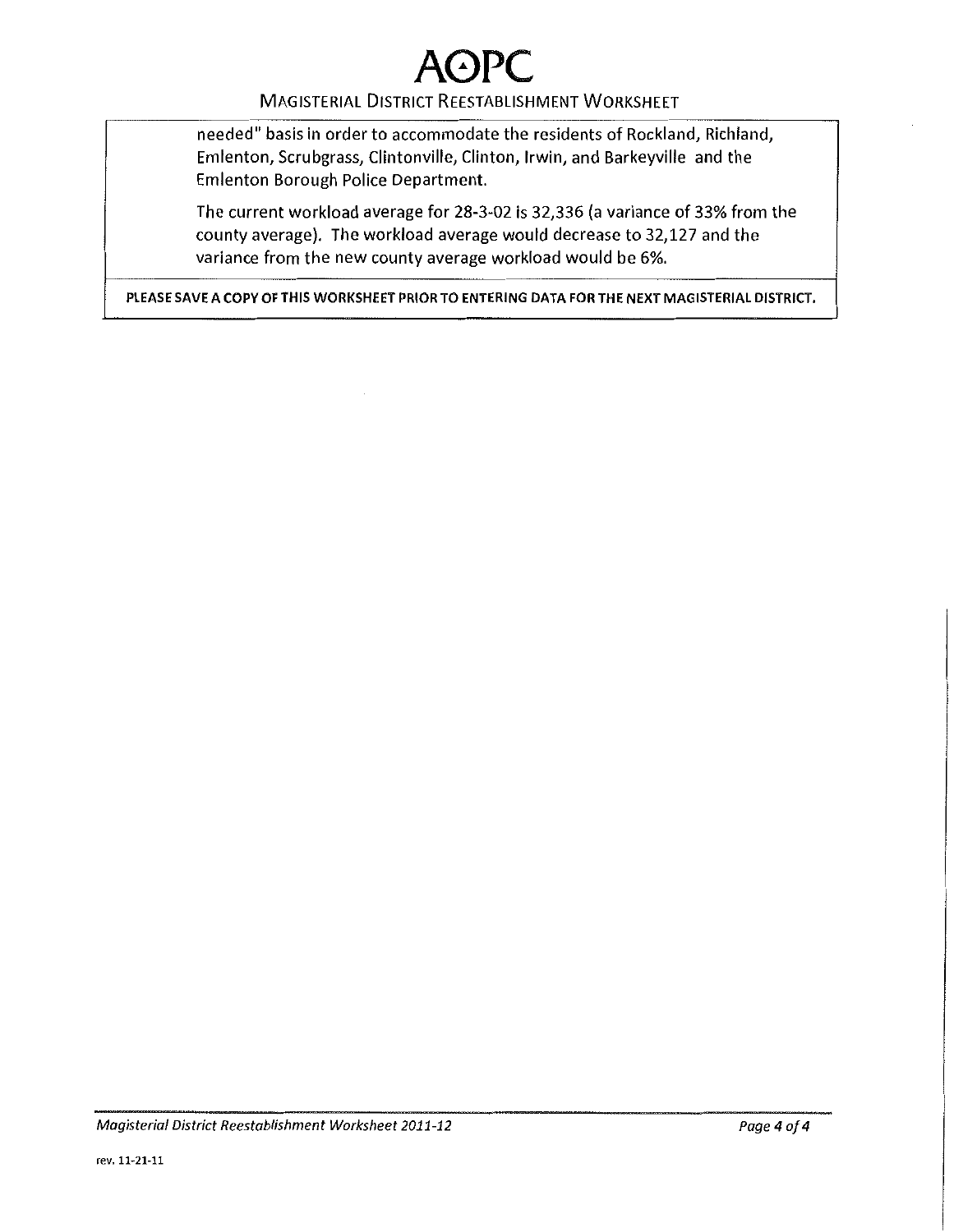#### MAGISTERIAL DiSTRICT REESTABLISHMENT WORKSHEET

needed" basis in order to accommodate the residents of Rockland, Richland, Emlenton, Scrubgrass, Clintonville, Clinton, Irwin, and Barkeyville and the Emlenton Borough Police Department.

The current workload average for 28-3-02 is 32,336 (a variance of 33% from the county average). The workload average would decrease to 32,127 and the variance from the new county average workload would be 6%.

PLEASE SAVE A COPY OF THIS WORKSHEET PRIOR TO ENTERING DATA FOR THE NEXT MAGISTERIAL DISTRICT.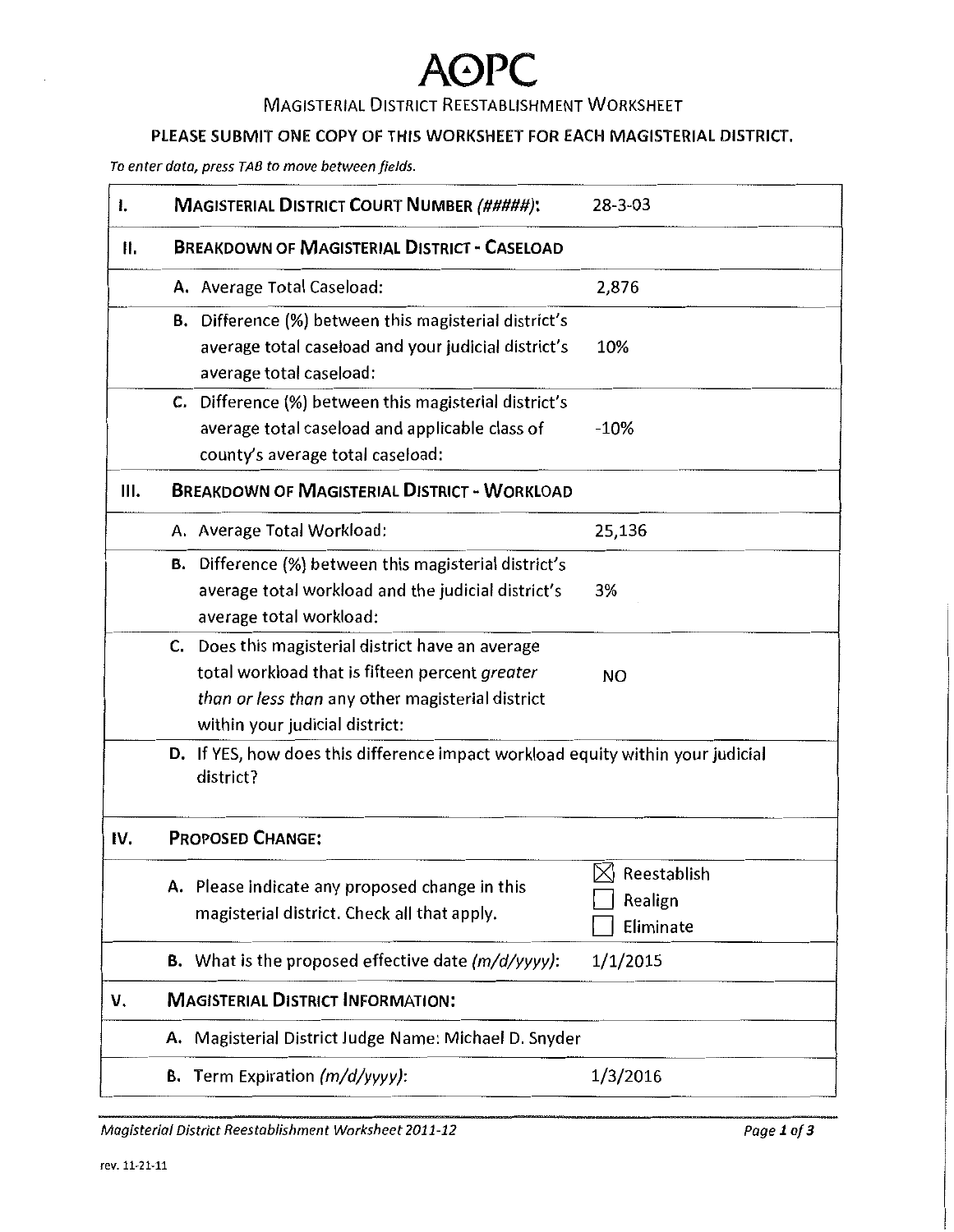### MAGISTERIAL DISTRICT REESTABLISHMENT WORKSHEET

#### PlEASE SUBMIT ONE COPY OF THIS WORKSHEET FOR EACH MAGISTERIAl DISTRICT.

*To enter data, press TAB to move between fields.* 

| I.  | <b>MAGISTERIAL DISTRICT COURT NUMBER (#####):</b>                                                                                                                                         | $28 - 3 - 03$                                    |
|-----|-------------------------------------------------------------------------------------------------------------------------------------------------------------------------------------------|--------------------------------------------------|
| Ⅱ.  | <b>BREAKDOWN OF MAGISTERIAL DISTRICT - CASELOAD</b>                                                                                                                                       |                                                  |
|     | A. Average Total Caseload:                                                                                                                                                                | 2,876                                            |
|     | <b>B.</b> Difference (%) between this magisterial district's<br>average total caseload and your judicial district's<br>average total caseload:                                            | 10%                                              |
|     | C. Difference (%) between this magisterial district's<br>average total caseload and applicable class of<br>county's average total caseload:                                               | $-10%$                                           |
| Ш.  | <b>BREAKDOWN OF MAGISTERIAL DISTRICT - WORKLOAD</b>                                                                                                                                       |                                                  |
|     | A. Average Total Workload:                                                                                                                                                                | 25,136                                           |
|     | <b>B.</b> Difference (%) between this magisterial district's<br>average total workload and the judicial district's<br>average total workload:                                             | 3%                                               |
|     | C. Does this magisterial district have an average<br>total workload that is fifteen percent greater<br>than or less than any other magisterial district<br>within your judicial district: | NO.                                              |
|     | D. If YES, how does this difference impact workload equity within your judicial<br>district?                                                                                              |                                                  |
| IV. | <b>PROPOSED CHANGE:</b>                                                                                                                                                                   |                                                  |
|     | A. Please indicate any proposed change in this<br>magisterial district. Check all that apply.                                                                                             | $\bowtie$<br>Reestablish<br>Realign<br>Eliminate |
|     | <b>B.</b> What is the proposed effective date $(m/d/yyyy)$ :                                                                                                                              | 1/1/2015                                         |
| v.  | <b>MAGISTERIAL DISTRICT INFORMATION:</b>                                                                                                                                                  |                                                  |
|     | A. Magisterial District Judge Name: Michael D. Snyder                                                                                                                                     |                                                  |
|     | B. Term Expiration (m/d/yyyy):                                                                                                                                                            | 1/3/2016                                         |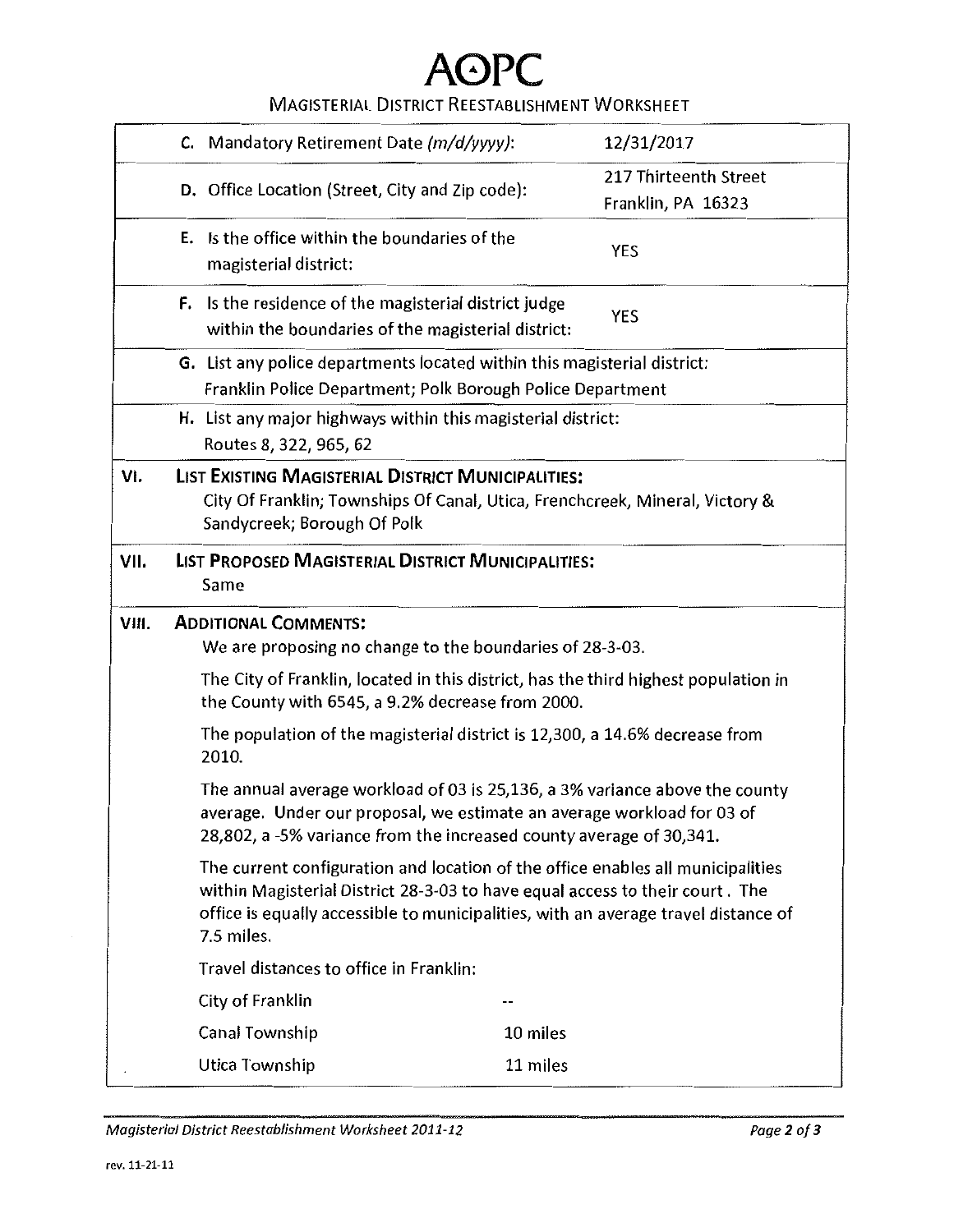### MAGISTERIAL DISTRICT REESTABLISHMENT WORKSHEET

|       | C. Mandatory Retirement Date (m/d/yyyy):                                                                                                                                                                                                                                                                                                   | 12/31/2017            |
|-------|--------------------------------------------------------------------------------------------------------------------------------------------------------------------------------------------------------------------------------------------------------------------------------------------------------------------------------------------|-----------------------|
|       |                                                                                                                                                                                                                                                                                                                                            | 217 Thirteenth Street |
|       | D. Office Location (Street, City and Zip code):                                                                                                                                                                                                                                                                                            | Franklin, PA 16323    |
|       | E. Is the office within the boundaries of the                                                                                                                                                                                                                                                                                              | <b>YES</b>            |
|       | magisterial district:                                                                                                                                                                                                                                                                                                                      |                       |
|       | F. Is the residence of the magisterial district judge<br>within the boundaries of the magisterial district:                                                                                                                                                                                                                                | <b>YES</b>            |
|       | G. List any police departments located within this magisterial district:                                                                                                                                                                                                                                                                   |                       |
|       | Franklin Police Department; Polk Borough Police Department                                                                                                                                                                                                                                                                                 |                       |
|       | H. List any major highways within this magisterial district:                                                                                                                                                                                                                                                                               |                       |
|       | Routes 8, 322, 965, 62                                                                                                                                                                                                                                                                                                                     |                       |
| VI.   | <b>LIST EXISTING MAGISTERIAL DISTRICT MUNICIPALITIES:</b>                                                                                                                                                                                                                                                                                  |                       |
|       | City Of Franklin; Townships Of Canal, Utica, Frenchcreek, Mineral, Victory &                                                                                                                                                                                                                                                               |                       |
|       | Sandycreek; Borough Of Polk                                                                                                                                                                                                                                                                                                                |                       |
| VII.  | <b>LIST PROPOSED MAGISTERIAL DISTRICT MUNICIPALITIES:</b>                                                                                                                                                                                                                                                                                  |                       |
|       | Same                                                                                                                                                                                                                                                                                                                                       |                       |
|       |                                                                                                                                                                                                                                                                                                                                            |                       |
|       |                                                                                                                                                                                                                                                                                                                                            |                       |
| VIII. | <b>ADDITIONAL COMMENTS:</b><br>We are proposing no change to the boundaries of 28-3-03.                                                                                                                                                                                                                                                    |                       |
|       | The City of Franklin, located in this district, has the third highest population in                                                                                                                                                                                                                                                        |                       |
|       | the County with 6545, a 9.2% decrease from 2000.                                                                                                                                                                                                                                                                                           |                       |
|       | The population of the magisterial district is 12,300, a 14.6% decrease from<br>2010.                                                                                                                                                                                                                                                       |                       |
|       | The annual average workload of 03 is 25,136, a 3% variance above the county<br>average. Under our proposal, we estimate an average workload for 03 of                                                                                                                                                                                      |                       |
|       | 28,802, a -5% variance from the increased county average of 30,341.<br>The current configuration and location of the office enables all municipalities<br>within Magisterial District 28-3-03 to have equal access to their court. The<br>office is equally accessible to municipalities, with an average travel distance of<br>7.5 miles. |                       |
|       |                                                                                                                                                                                                                                                                                                                                            |                       |
|       | Travel distances to office in Franklin:                                                                                                                                                                                                                                                                                                    |                       |
|       | City of Franklin                                                                                                                                                                                                                                                                                                                           |                       |
|       | Canal Township<br>10 miles<br>11 miles<br>Utica Township                                                                                                                                                                                                                                                                                   |                       |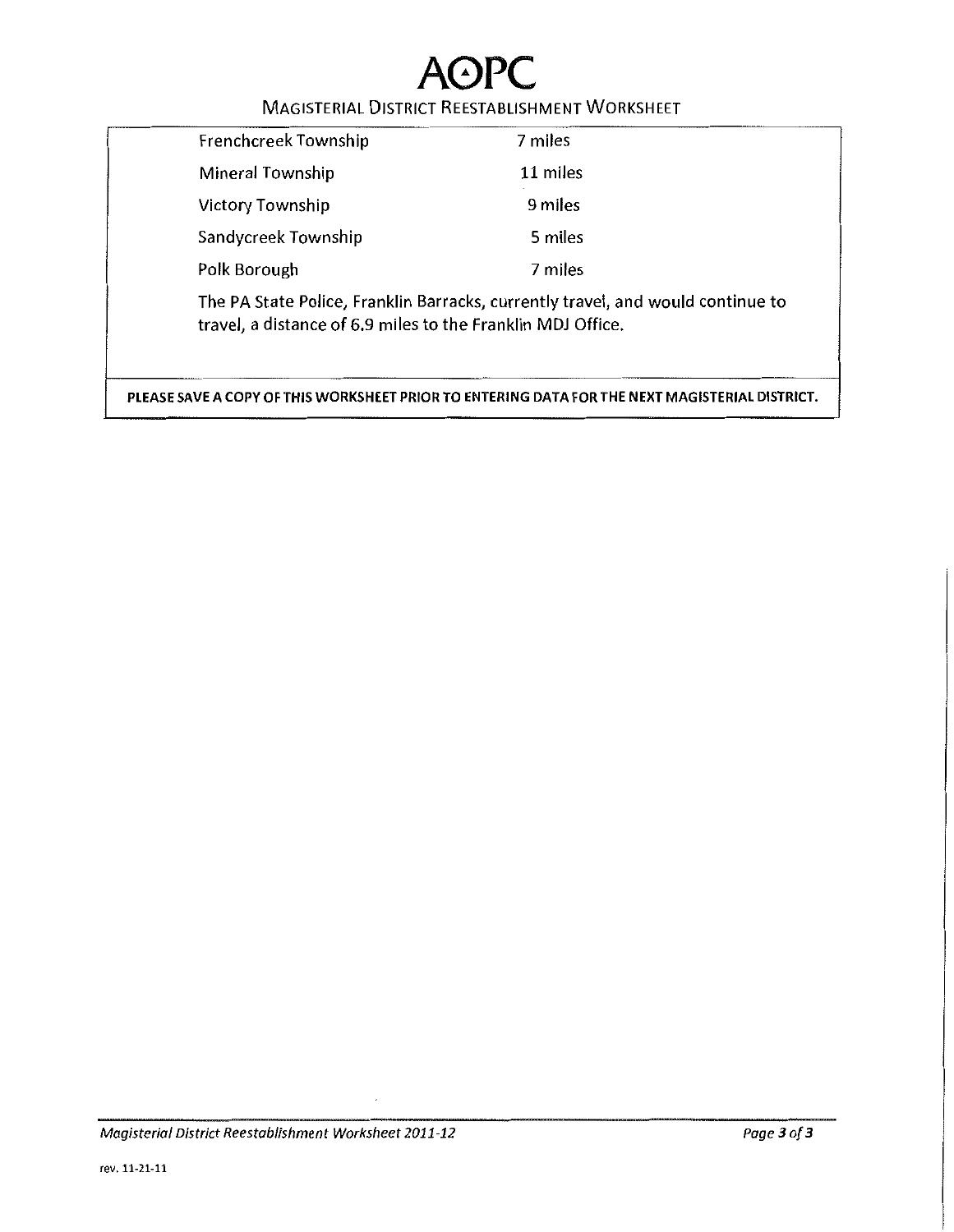### MAGISTERIAL DISTRICT REESTABLISHMENT WORKSHEET

| Frenchcreek Township                                                                                                                           | 7 miles  |
|------------------------------------------------------------------------------------------------------------------------------------------------|----------|
| Mineral Township                                                                                                                               | 11 miles |
| <b>Victory Township</b>                                                                                                                        | 9 miles  |
| Sandycreek Township                                                                                                                            | 5 miles  |
| Polk Borough                                                                                                                                   | 7 miles  |
| The PA State Police, Franklin Barracks, currently travel, and would continue to<br>travel, a distance of 6.9 miles to the Franklin MDJ Office. |          |

PLEASE SAVE A COPY OF THIS WORKSHEET PRIOR TO ENTERING DATA FOR THE NEXT MAGISTERIAL DISTRICT.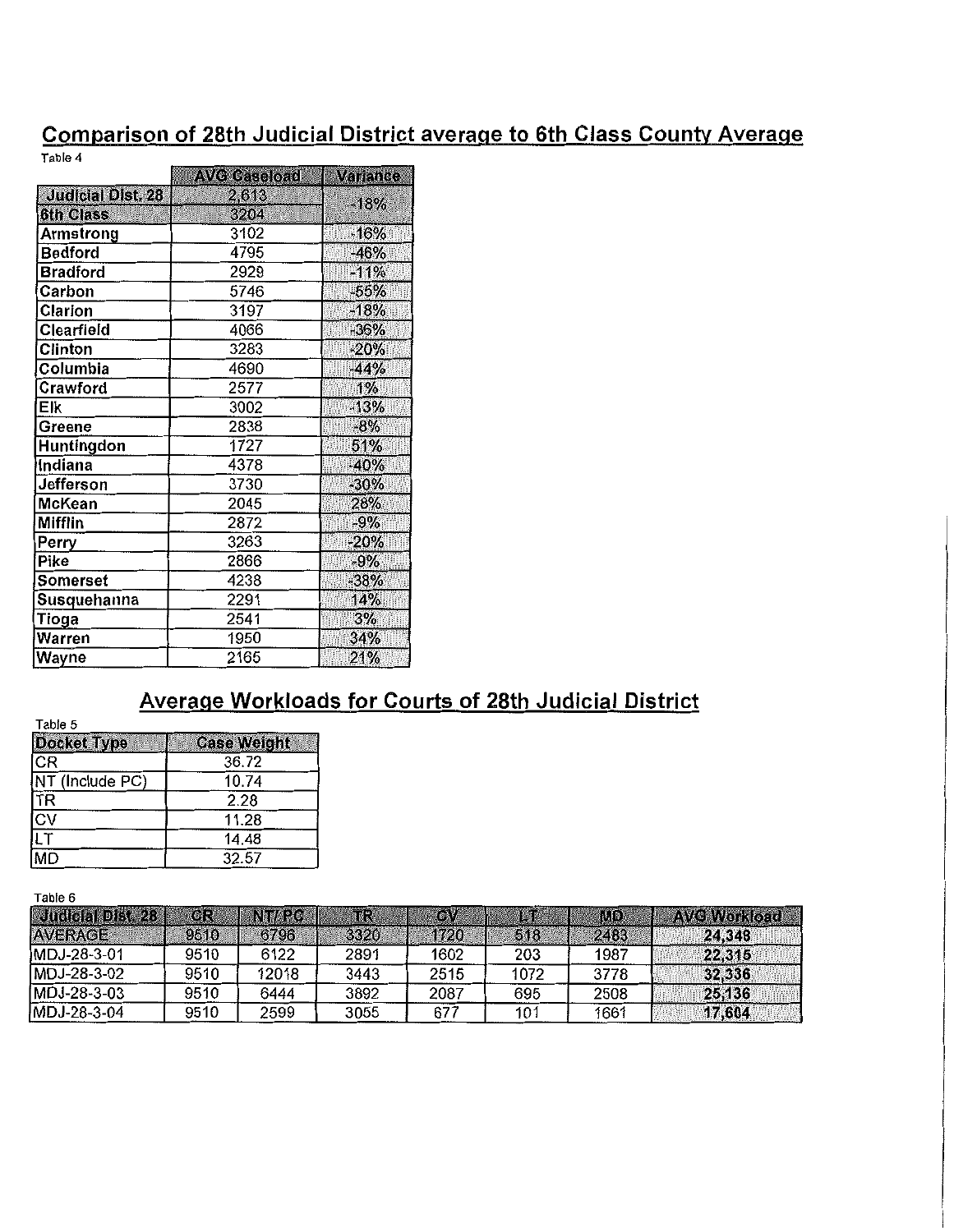### Comparison of 28th Judicial District average to 6th Class County Average

Table 4

|                          | <b>AVG Caseload</b> | Variance |
|--------------------------|---------------------|----------|
| <b>Judicial Dist. 28</b> | 2,613               | $-18%$   |
| <b>6th Class</b>         | 3204                |          |
| Armstrong                | 3102                | $-16%$   |
| <b>Bedford</b>           | 4795                | $-46%$   |
| <b>Bradford</b>          | 2929                | $-11%$   |
| Carbon                   | 5746                | $-55%$   |
| Clarion                  | 3197                | $-18%$   |
| Clearfield               | 4066                | $-36%$   |
| Clinton                  | 3283                | $-20%$   |
| Columbia                 | 4690                | $-44%$   |
| Crawford                 | 2577                | 1%       |
| Elk                      | 3002                | $-13%$   |
| Greene                   | 2838                | $-8%$    |
| Huntingdon               | 1727                | 51%      |
| Indiana                  | 4378                | $-40%$   |
| Jefferson                | 3730                | $-30%$   |
| McKean                   | 2045                | 28%      |
| Mifflin                  | 2872                | $-9%$    |
| Perry                    | 3263                | $-20%$   |
| Pike                     | 2866                | $-9%$    |
| Somerset                 | 4238                | $-38%$   |
| Susquehanna              | 2291                | 14%      |
| Tioga                    | 2541                | 3%       |
| Warren                   | 1950                | 34%      |
| Wayne                    | 2165                | 21%      |

### Average Workloads for Courts of 28th Judicial District

Table 5

| .                      |                    |  |
|------------------------|--------------------|--|
| <b>Docket Type</b>     | <b>Case Weight</b> |  |
| CR                     | 36.72              |  |
| NT (Include PC)        | 10.74              |  |
| <b>ITR</b>             | 2.28               |  |
| $\overline{\text{cv}}$ | 11.28              |  |
| llT                    | 14.48              |  |
| MD                     | 32.57              |  |

Table 6

| Judicial Dist. 28 | CR.  | NTI PC | TR   | <b>OP</b> | LT   | MD.  | <b>AVG Workload</b> |
|-------------------|------|--------|------|-----------|------|------|---------------------|
| <b>AVERAGE</b>    | 9510 | 6796   | 3320 | 1720      | 518  | 2483 | 24.348              |
| MDJ-28-3-01       | 9510 | 6122   | 2891 | 1602      | 203  | 1987 | 22,315              |
| MDJ-28-3-02       | 9510 | 12018  | 3443 | 2515      | 1072 | 3778 | 32,336              |
| MDJ-28-3-03       | 9510 | 6444   | 3892 | 2087      | 695  | 2508 | 25,136              |
| MDJ-28-3-04       | 9510 | 2599   | 3055 | 677       | 101  | 1661 | 17,604              |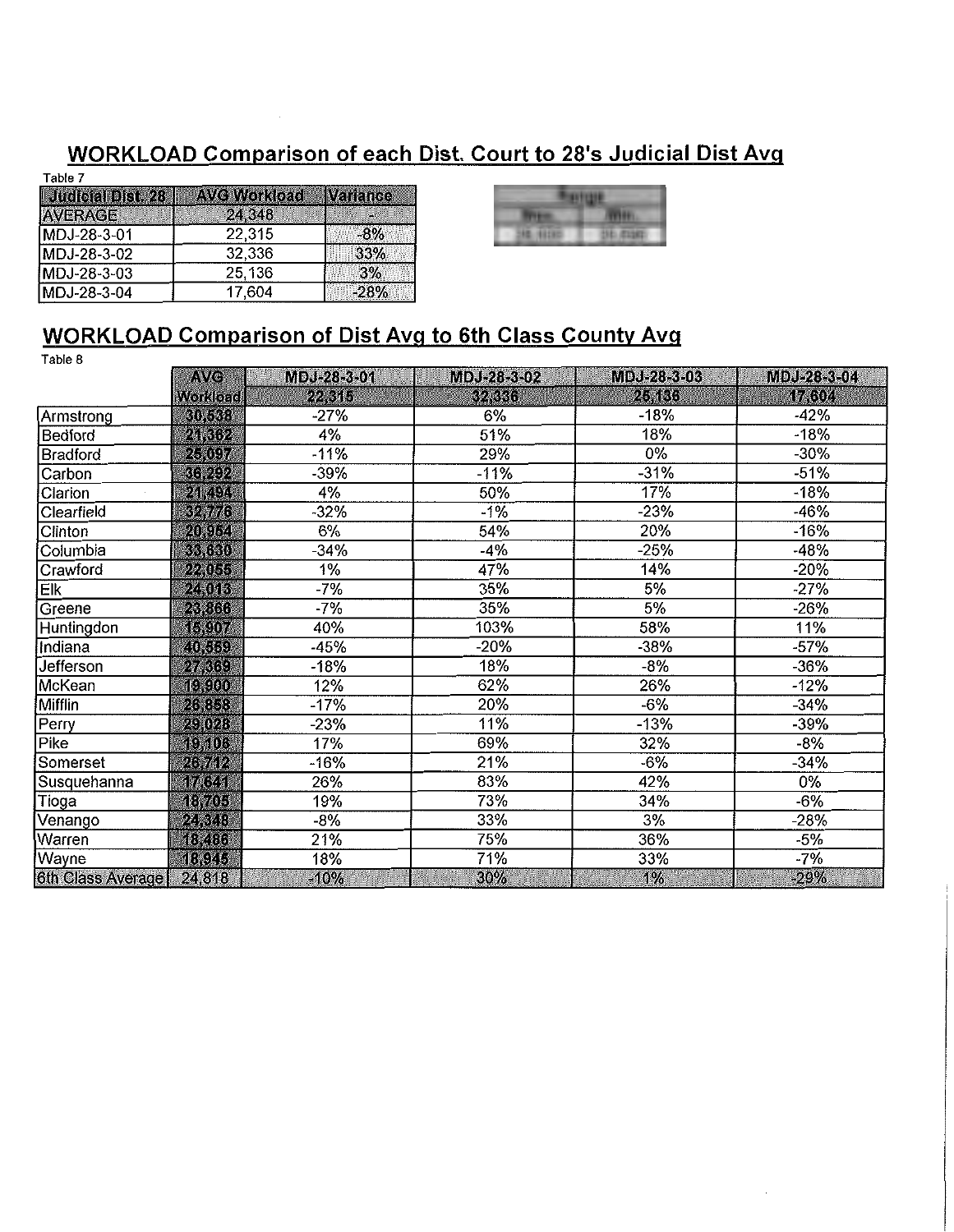### WORKLOAD Comparison of each Dist. Court to 28's Judicial Dist Avq

| Table 7                  |                     |
|--------------------------|---------------------|
| <b>Judicial Dist. 28</b> | <b>AVG Workload</b> |
| <b>AVERAGE</b>           | 24,348              |
| MDJ-28-3-01              | 22,315              |
| MDJ-28-3-02              | 32,336              |
| MDJ-28-3-03              | 25,136              |

17,604

|                                           | ٠<br>٠<br>٤ |
|-------------------------------------------|-------------|
| -<br>٠<br>٠<br>٠<br>ł<br>٠<br>з<br>۰<br>٠ | ı<br>٠      |

### WORKLOAD Comparison of Dist Avq to 6th Class County Avg

 $-28%$ 

Variance ).  $-8\%$ 33%  $3%$ 

Table 8

MDJ-28-3-04

|                   | AVG             | MDJ-28-3-01 | MDJ-28-3-02 | MDJ-28-3-03 | MDJ-28-3-04 |
|-------------------|-----------------|-------------|-------------|-------------|-------------|
|                   | <b>Workload</b> | 22,315      | 32,336      | 25,136      | 17,604      |
| Armstrong         | 30,538          | $-27%$      | 6%          | -18%        | $-42%$      |
| Bedford           | 21,362          | 4%          | 51%         | 18%         | $-18%$      |
| Bradford          | 25,097          | $-11%$      | 29%         | 0%          | $-30%$      |
| Carbon            | 36,292          | $-39%$      | $-11%$      | $-31%$      | $-51%$      |
| Clarion           | 21,494          | 4%          | 50%         | 17%         | $-18%$      |
| <b>Clearfield</b> | 32,776          | $-32%$      | $-1%$       | -23%        | $-46%$      |
| Clinton           | 20,954          | 6%          | 54%         | 20%         | $-16%$      |
| Columbia          | 33,630          | $-34%$      | -4%         | -25%        | $-48%$      |
| Crawford          | 22,055          | 1%          | 47%         | 14%         | $-20%$      |
| Elk               | 24,013          | $-7%$       | 35%         | 5%          | $-27%$      |
| Greene            | 23,866          | $-7%$       | 35%         | 5%          | $-26%$      |
| Huntingdon        | 15,907          | 40%         | 103%        | 58%         | 11%         |
| Indiana           | 40,559          | $-45%$      | -20%        | -38%        | $-57%$      |
| Jefferson         | 27,369          | $-18%$      | 18%         | $-8%$       | $-36%$      |
| McKean            | (0, 0, 0)       | 12%         | 62%         | 26%         | $-12%$      |
| Mifflin           | 26,858          | $-17%$      | 20%         | $-6%$       | $-34%$      |
| Perry             | 29,028          | $-23%$      | 11%         | $-13%$      | -39%        |
| Pike              | 19,106          | 17%         | 69%         | 32%         | -8%         |
| Somerset          | 26,712          | -16%        | 21%         | $-6%$       | -34%        |
| Susquehanna       | 17,641          | 26%         | 83%         | 42%         | $0\%$       |
| <b>Tioga</b>      | 18,705          | 19%         | 73%         | 34%         | -6%         |
| Venango           | 24,348          | $-8%$       | 33%         | 3%          | -28%        |
| Warren            | 48,486          | 21%         | 75%         | 36%         | -5%         |
| Wayne             | 18,945          | 18%         | 71%         | 33%         | $-7%$       |
| 6th Class Average | 24,818          | $-10%$      | 30%         | 1%          | $-29%$      |